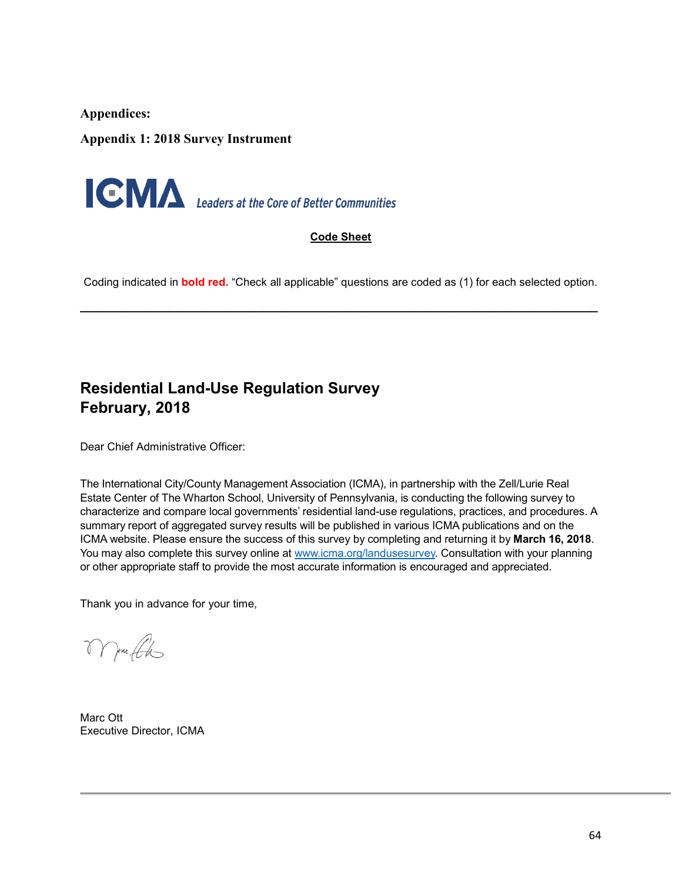**Appendices:** 

**Appendix 1: 2018 Survey Instrument**



#### **Code Sheet**

Coding indicated in **bold red.** "Check all applicable" questions are coded as (1) for each selected option.

**\_\_\_\_\_\_\_\_\_\_\_\_\_\_\_\_\_\_\_\_\_\_\_\_\_\_\_\_\_\_\_\_\_\_\_\_\_\_\_\_\_\_\_\_\_\_\_\_\_\_\_\_\_\_\_\_\_\_\_\_\_\_\_\_\_\_\_\_\_\_\_\_\_\_\_\_**

## **Residential Land-Use Regulation Survey February, 2018**

Dear Chief Administrative Officer:

The International City/County Management Association (ICMA), in partnership with the Zell/Lurie Real Estate Center of The Wharton School, University of Pennsylvania, is conducting the following survey to characterize and compare local governments' residential land-use regulations, practices, and procedures. A summary report of aggregated survey results will be published in various ICMA publications and on the ICMA website. Please ensure the success of this survey by completing and returning it by **March 16, 2018**. You may also complete this survey online at [www.icma.org/landusesurvey.](http://www.icma.org/landusesurvey) Consultation with your planning or other appropriate staff to provide the most accurate information is encouraged and appreciated.

Thank you in advance for your time,

More the

Marc Ott Executive Director, ICMA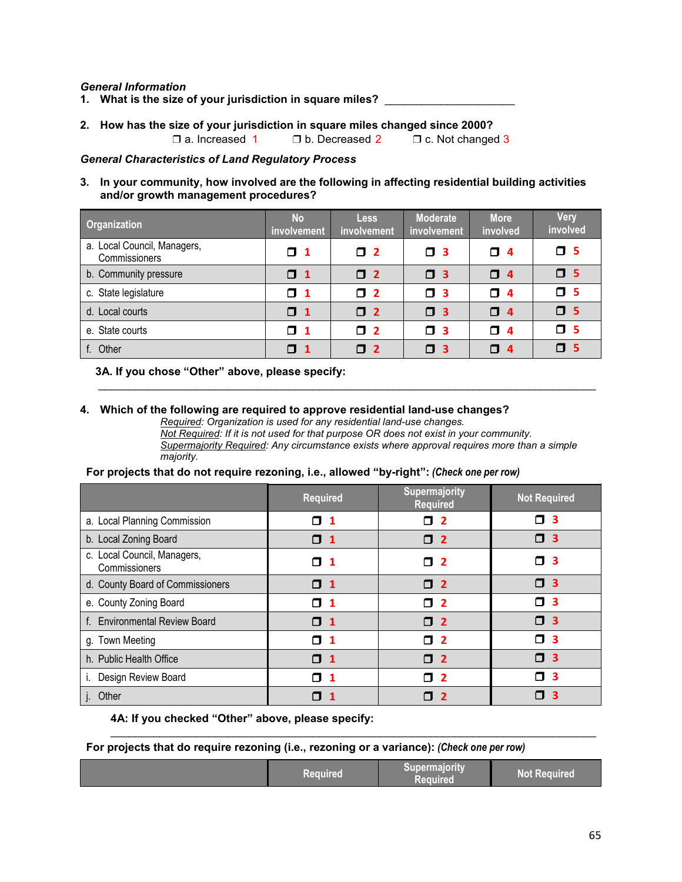#### *General Information*

- **1. What is the size of your jurisdiction in square miles?** \_\_\_\_\_\_\_\_\_\_\_\_\_\_\_\_\_\_\_\_\_
- **2. How has the size of your jurisdiction in square miles changed since 2000?**

❒ a. Increased 1 ❒ b. Decreased 2 ❒ c. Not changed 3

#### *General Characteristics of Land Regulatory Process*

#### **3. In your community, how involved are the following in affecting residential building activities and/or growth management procedures?**

| Organization                                 | <b>No</b><br><b>involvement</b> | <b>Less</b><br><b>involvement</b> | <b>Moderate</b><br>involvement | <b>More</b><br>involved | <b>Very</b><br>involved |
|----------------------------------------------|---------------------------------|-----------------------------------|--------------------------------|-------------------------|-------------------------|
| a. Local Council, Managers,<br>Commissioners | $\Box$ 1                        | $\Box$ 2                          | Π.<br>-3                       | $\Box$ 4                | $\Box$ 5                |
| b. Community pressure                        | $\Box$ 1                        | $\Box$ 2                          | $\square$ 3                    | $\Box$ 4                | $\square$ 5             |
| c. State legislature                         | $\Box$ 1                        | $\Box$ 2                          | α.<br>$\overline{\mathbf{3}}$  | $\Box$ 4                | $\Box$ 5                |
| d. Local courts                              | $\Box$ 1                        | $\Box$ 2                          | $\Box$ 3                       | $\Box$ 4                | $\Box$ 5                |
| e. State courts                              | $\Box$ 1                        | $\square$ 2                       | Π.<br>$\overline{\mathbf{3}}$  | $\Box$ 4                | $\mathsf{\Pi}$ 5        |
| f. Other                                     | $\mathsf{\Pi}$ 1                | $\Box$ 2                          | α.<br>-3                       | $\Box$ 4                | $\Box$ 5                |

\_\_\_\_\_\_\_\_\_\_\_\_\_\_\_\_\_\_\_\_\_\_\_\_\_\_\_\_\_\_\_\_\_\_\_\_\_\_\_\_\_\_\_\_\_\_\_\_\_\_\_\_\_\_\_\_\_\_\_\_\_\_\_\_\_\_\_\_\_\_\_\_\_\_\_\_\_\_\_\_\_

#### **3A. If you chose "Other" above, please specify:**

#### **4. Which of the following are required to approve residential land-use changes?**

*Required: Organization is used for any residential land-use changes. Not Required: If it is not used for that purpose OR does not exist in your community. Supermajority Required: Any circumstance exists where approval requires more than a simple majority.*

#### **For projects that do not require rezoning, i.e., allowed "by-right":** *(Check one per row)*

|                                              | <b>Required</b>              | Supermajority<br><b>Required</b> | <b>Not Required</b>           |
|----------------------------------------------|------------------------------|----------------------------------|-------------------------------|
| a. Local Planning Commission                 | Π<br>1                       | $\overline{\mathbf{2}}$<br>Π.    | 3<br>ı                        |
| b. Local Zoning Board                        | <b>N</b> 1                   | $\Box$ 2                         | $\mathbf{3}$<br>Π.            |
| c. Local Council, Managers,<br>Commissioners | □ 1                          | $\square$ 2                      | O 3                           |
| d. County Board of Commissioners             | $\Box$ 1                     | $\Box$ 2                         | $\Box$ 3                      |
| e. County Zoning Board                       | П<br>$\overline{\mathbf{1}}$ | $\Box$ 2                         | -3<br>п                       |
| f. Environmental Review Board                | П<br>$\mathbf 1$             | $\Box$ 2                         | $\Box$ 3                      |
| g. Town Meeting                              | П<br>$\mathbf 1$             | $\overline{2}$<br>п              | -3<br>П                       |
| h. Public Health Office                      | <b>O</b> 1                   | $\Box$ 2                         | $\overline{\mathbf{3}}$<br>п. |
| Design Review Board                          | П<br>-1                      | $\overline{2}$<br>Π              | 3<br>П                        |
| Other                                        |                              | $\overline{2}$                   | $\mathbf{3}$<br>П             |

#### **4A: If you checked "Other" above, please specify:**

**For projects that do require rezoning (i.e., rezoning or a variance):** *(Check one per row)*

|  | Required | Supermajority<br>Required | <b>Not Required</b> |
|--|----------|---------------------------|---------------------|
|--|----------|---------------------------|---------------------|

\_\_\_\_\_\_\_\_\_\_\_\_\_\_\_\_\_\_\_\_\_\_\_\_\_\_\_\_\_\_\_\_\_\_\_\_\_\_\_\_\_\_\_\_\_\_\_\_\_\_\_\_\_\_\_\_\_\_\_\_\_\_\_\_\_\_\_\_\_\_\_\_\_\_\_\_\_\_\_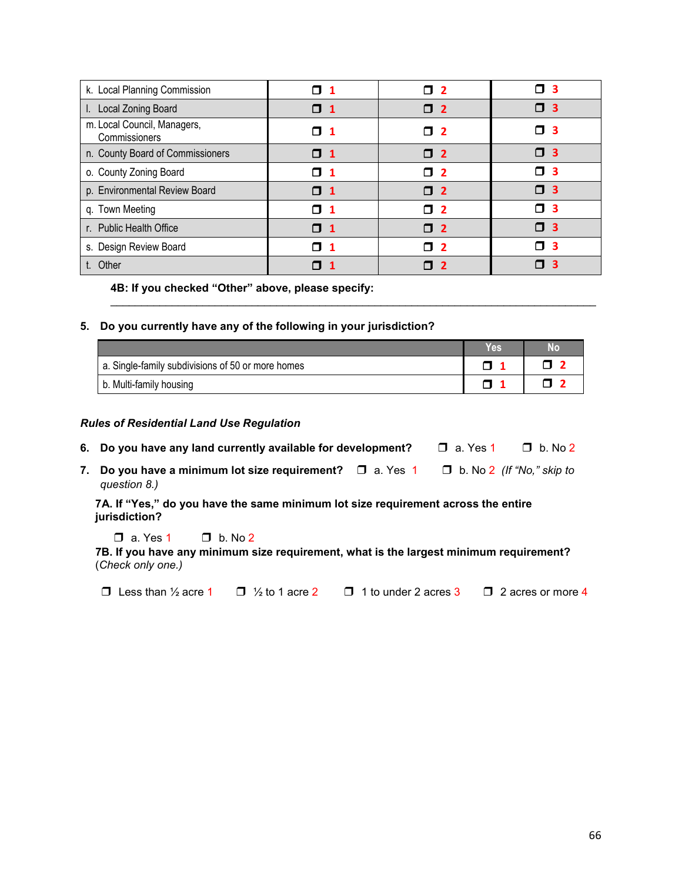| k. Local Planning Commission                 | $\Box$ 1         | $\Box$ 2 | П3               |
|----------------------------------------------|------------------|----------|------------------|
| I. Local Zoning Board                        | $\mathsf{\Pi}$ 1 | $\Box$ 2 | $\Box$ 3         |
| m. Local Council, Managers,<br>Commissioners | П 1              | O 2      | $\square$ 3      |
| n. County Board of Commissioners             | $\Box$ 1         | $\Box$ 2 | $\Box$ 3         |
| o. County Zoning Board                       | T 1              | T 2      | п з              |
| p. Environmental Review Board                | $\mathsf{\Pi}$ 1 | T 2      | $\square$ 3      |
| q. Town Meeting                              | $\mathsf{\Pi}$ 1 | □ 2      | $\mathsf{\Pi}$ 3 |
| r. Public Health Office                      | $\mathsf{\Pi}$ 1 | T 2      | $\square$ 3      |
| s. Design Review Board                       | n 1              | T 2      | $\Box$ 3         |
| t. Other                                     | П                | n 2      | п з              |

**4B: If you checked "Other" above, please specify:**

#### <span id="page-2-0"></span>**5. Do you currently have any of the following in your jurisdiction?**

|                                                   | Yes <sup>®</sup> | No |
|---------------------------------------------------|------------------|----|
| a. Single-family subdivisions of 50 or more homes |                  |    |
| b. Multi-family housing                           |                  |    |

\_\_\_\_\_\_\_\_\_\_\_\_\_\_\_\_\_\_\_\_\_\_\_\_\_\_\_\_\_\_\_\_\_\_\_\_\_\_\_\_\_\_\_\_\_\_\_\_\_\_\_\_\_\_\_\_\_\_\_\_\_\_\_\_\_\_\_\_\_\_\_\_\_\_\_\_\_\_\_

#### *Rules of Residential Land Use Regulation*

- **6. Do you have any land currently available for development?** ❒ a. Yes 1 ❒ b. No 2
- **7. Do you have a minimum lot size requirement?** ❒ a. Yes 1 ❒ b. No 2 *(If "No," skip to question 8.)*

**7A. If "Yes," do you have the same minimum lot size requirement across the entire jurisdiction?**

 $\Box$  a. Yes 1  $\Box$  b. No 2

**7B. If you have any minimum size requirement, what is the largest minimum requirement?** (*Check only one.)*

❒ Less than ½ acre 1 ❒ ½ to 1 acre 2 ❒ 1 to under 2 acres 3 ❒ 2 acres or more 4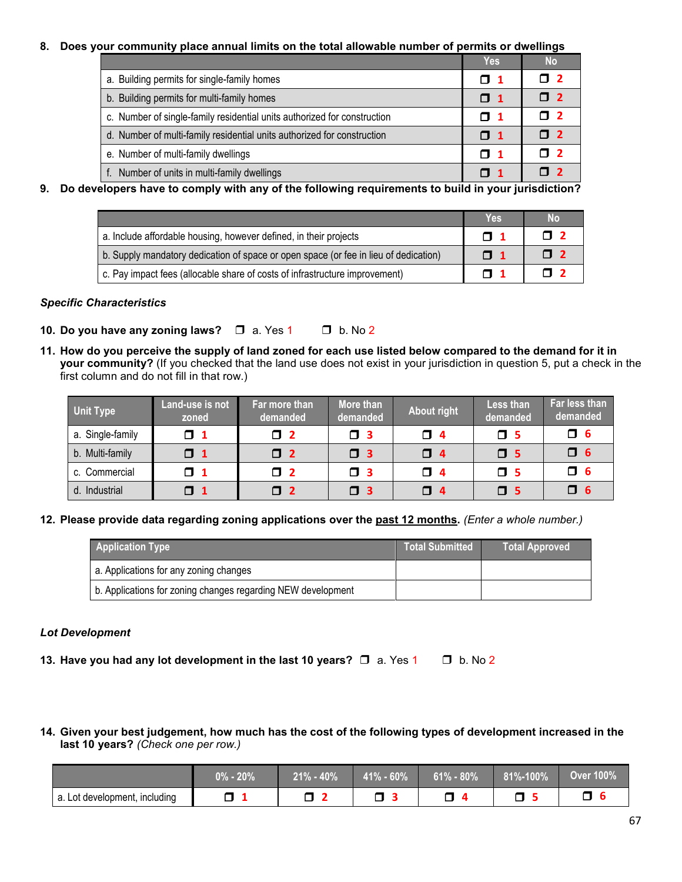#### **8. Does your community place annual limits on the total allowable number of permits or dwellings**

|                                                                          | <b>Yes</b>       | <b>No</b>    |
|--------------------------------------------------------------------------|------------------|--------------|
| a. Building permits for single-family homes                              | $\mathsf{\Pi}$ 1 | П 2          |
| b. Building permits for multi-family homes                               | $\mathsf{\Pi}$ 1 | $\mathsf{Z}$ |
| c. Number of single-family residential units authorized for construction | $\mathsf{\Pi}$ 1 | П 2          |
| d. Number of multi-family residential units authorized for construction  | $\mathsf{\Pi}$ 1 | $\mathsf{Z}$ |
| e. Number of multi-family dwellings                                      | $\mathsf{\Pi}$ 1 | <b>n</b> 2   |
| Number of units in multi-family dwellings                                | $\mathsf{\Pi}$ 1 |              |

**9. Do developers have to comply with any of the following requirements to build in your jurisdiction?**

|                                                                                      | <b>Yes</b>       | <b>No</b>           |
|--------------------------------------------------------------------------------------|------------------|---------------------|
| a. Include affordable housing, however defined, in their projects                    | $\mathsf{\Pi}$ 1 | $\mathsf{\Gamma}$ 2 |
| b. Supply mandatory dedication of space or open space (or fee in lieu of dedication) | $\mathsf{\Pi}$ 1 | $\mathsf{Z}$        |
| c. Pay impact fees (allocable share of costs of infrastructure improvement)          | $\mathsf{\Pi}$ 1 | <b>n</b> 2          |

#### *Specific Characteristics*

- **10. Do you have any zoning laws?** ❒ a. Yes 1 ❒ b. No 2
- **11. How do you perceive the supply of land zoned for each use listed below compared to the demand for it in your community?** (If you checked that the land use does not exist in your jurisdiction in question 5, put a check in the first column and do not fill in that row.)

| <b>Unit Type</b> | Land-use is not<br>zoned | Far more than<br>demanded | More than<br>demanded | <b>About right</b> | Less than<br>demanded | Far less than<br>demanded |
|------------------|--------------------------|---------------------------|-----------------------|--------------------|-----------------------|---------------------------|
| a. Single-family | $\Box$ 1                 | $\square$ 2               | П3                    | $\Box$ 4           | $\square$ 5           | $\Box$ 6                  |
| b. Multi-family  | $\Box$ 1                 | $\square$ 2               | $\square$ 3           | $\Box$ 4           | $\Box$ 5              | $\square$ 6               |
| c. Commercial    | $\Box$ 1                 | $\square$ 2               | FI 31                 | O 4                | $\mathsf{\Pi}$ 5      | $\Box$ 6                  |
| d. Industrial    | $\Box$ 1                 | $\Box$ 2                  | $\Box$ 3              | $\Box$ 4           | $\square$ 5           | $\Box$ 6                  |

#### **12. Please provide data regarding zoning applications over the past 12 months.** *(Enter a whole number.)*

| <b>Application Type</b>                                      | <b>Total Submitted</b> | Total Approved |
|--------------------------------------------------------------|------------------------|----------------|
| a. Applications for any zoning changes                       |                        |                |
| b. Applications for zoning changes regarding NEW development |                        |                |

#### *Lot Development*

- **13. Have you had any lot development in the last 10 years?** ❒ a. Yes 1 ❒ b. No 2
- 14. Given your best judgement, how much has the cost of the following types of development increased in the **last 10 years?** *(Check one per row.)*

|                               | $0\%$ - $20\%$ | $21\% - 40\%$ | $41\% - 60\%$ | $61\% - 80\%$ | 81%-100% | <b>Over 100%</b> |
|-------------------------------|----------------|---------------|---------------|---------------|----------|------------------|
| a. Lot development, including |                |               |               |               |          |                  |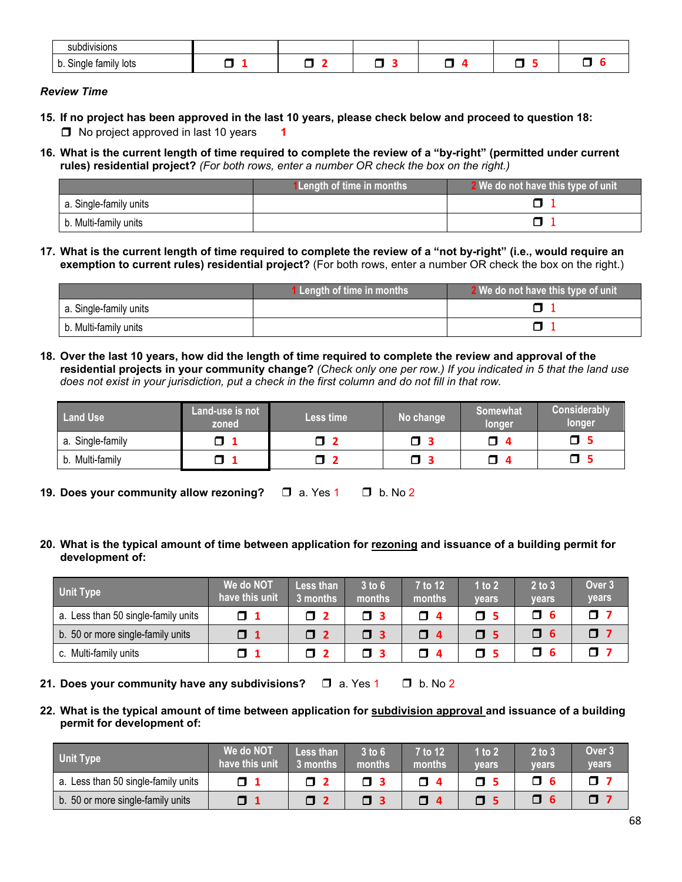| $\cdots$<br><b>SUDDIVISIONS</b>          |  |   |  |    |
|------------------------------------------|--|---|--|----|
| tamily lots<br>n<br>nale<br>ווט ט<br>. . |  | _ |  | __ |

#### *Review Time*

- 15. If no project has been approved in the last 10 years, please check below and proceed to question [18:](#page-4-0) ❒ No project approved in last 10 years **1**
- 16. What is the current length of time required to complete the review of a "by-right" (permitted under current **rules) residential project?** *(For both rows, enter a number OR check the box on the right.)*

|                        | <b>1Length of time in months</b> | 2 We do not have this type of unit |
|------------------------|----------------------------------|------------------------------------|
| a. Single-family units |                                  |                                    |
| b. Multi-family units  |                                  |                                    |

17. What is the current length of time required to complete the review of a "not by-right" (i.e., would require an **exemption to current rules) residential project?** (For both rows, enter a number OR check the box on the right.)

|                        | 1 Length of time in months | 2 We do not have this type of unit |
|------------------------|----------------------------|------------------------------------|
| a. Single-family units |                            |                                    |
| b. Multi-family units  |                            |                                    |

<span id="page-4-0"></span>18. Over the last 10 years, how did the length of time required to complete the review and approval of the residential projects in your community change? (Check only one per row.) If you indicated in [5](#page-2-0) that the land use does not exist in your jurisdiction, put a check in the first column and do not fill in that row.

| <b>Land Use</b>     | <b>Land-use is not</b><br>zoned | Less time            | No change | Somewhat<br><b>longer</b> | <b>Considerably</b><br>longer |
|---------------------|---------------------------------|----------------------|-----------|---------------------------|-------------------------------|
| Single-family<br>а. |                                 | <u>, p</u><br>$\Box$ | J         | 0                         | o                             |
| b. Multi-family     |                                 | ◠<br>$\Box$          |           | □                         |                               |

**19. Does your community allow rezoning?** ❒ a. Yes 1 ❒ b. No 2

20. What is the typical amount of time between application for rezoning and issuance of a building permit for **development of:**

| Unit Type                           | We do NOT<br>have this unit | Less than<br>3 months | $3$ to $6$<br>months | 7 to 12<br>months | 1 to $2$<br>vears | $2$ to $3$<br>vears | Over <sub>3</sub><br><b>vears</b> |
|-------------------------------------|-----------------------------|-----------------------|----------------------|-------------------|-------------------|---------------------|-----------------------------------|
| a. Less than 50 single-family units | $\Box$ 1                    | T 2                   | П3                   | $\Box$ 4          | T 5               | N 6.                | α.                                |
| b. 50 or more single-family units   | $\Box$ 1                    | $\mathsf{Z}$          | $\Box$ 3             | $\Box$ 4          | $\mathsf{\Pi}$ 5  | O 6                 | OV                                |
| c. Multi-family units               | □                           |                       | п з                  | <b>N</b> 4        |                   | П 6                 |                                   |

- **21. Does your community have any subdivisions?** ❒ a. Yes 1 ❒ b. No 2
- 22. What is the typical amount of time between application for subdivision approval and issuance of a building **permit for development of:**

| <b>Unit Type</b>                    | We do NOT<br>have this unit | <b>Less than</b><br>3 months | $3$ to $6$<br>months | 7 to 12<br>months | 1 to $2$<br>vears | $2$ to $3$<br>vears | Over <sub>3</sub><br><b>vears</b> |
|-------------------------------------|-----------------------------|------------------------------|----------------------|-------------------|-------------------|---------------------|-----------------------------------|
| a. Less than 50 single-family units | □                           | П                            |                      | J                 | O 5               |                     |                                   |
| b. 50 or more single-family units   | □                           | П 2                          |                      | Ο.                |                   |                     |                                   |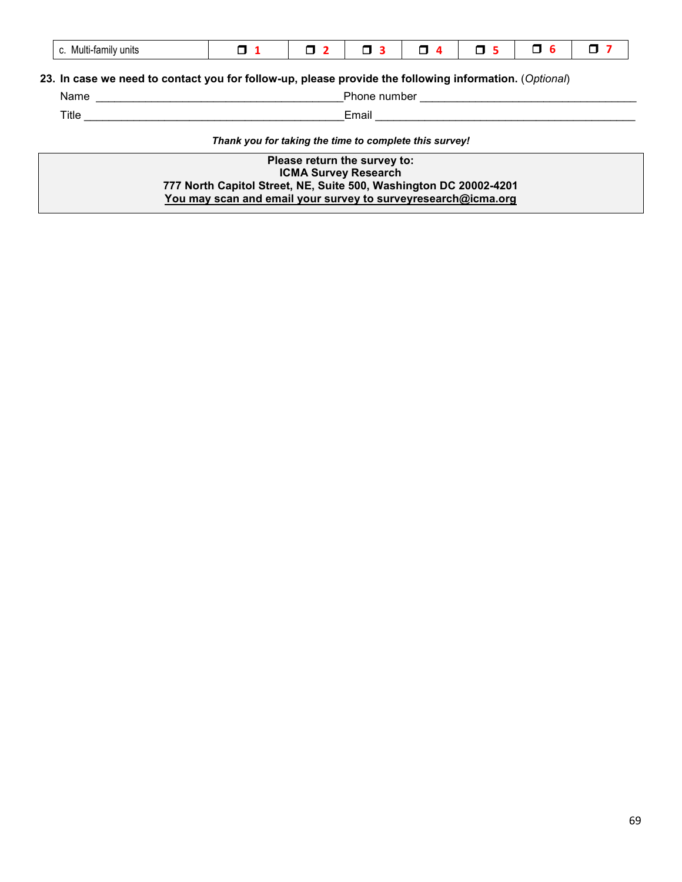| .<br>Multi-family units<br>v. | $\overline{\phantom{0}}$ |  |  |  | $\sim$ |  |  |
|-------------------------------|--------------------------|--|--|--|--------|--|--|
|-------------------------------|--------------------------|--|--|--|--------|--|--|

#### **23. In case we need to contact you for follow-up, please provide the following information.** (*Optional*)

# Name \_\_\_\_\_\_\_\_\_\_\_\_\_\_\_\_\_\_\_\_\_\_\_\_\_\_\_\_\_\_\_\_\_\_\_\_\_\_\_\_Phone number \_\_\_\_\_\_\_\_\_\_\_\_\_\_\_\_\_\_\_\_\_\_\_\_\_\_\_\_\_\_\_\_\_\_\_

Title \_\_\_\_\_\_\_\_\_\_\_\_\_\_\_\_\_\_\_\_\_\_\_\_\_\_\_\_\_\_\_\_\_\_\_\_\_\_\_\_\_\_Email \_\_\_\_\_\_\_\_\_\_\_\_\_\_\_\_\_\_\_\_\_\_\_\_\_\_\_\_\_\_\_\_\_\_\_\_\_\_\_\_\_\_

*Thank you for taking the time to complete this survey!*

**Please return the survey to: ICMA Survey Research 777 North Capitol Street, NE, Suite 500, Washington DC 20002-4201 You may scan and email your survey to surveyresearch@icma.org**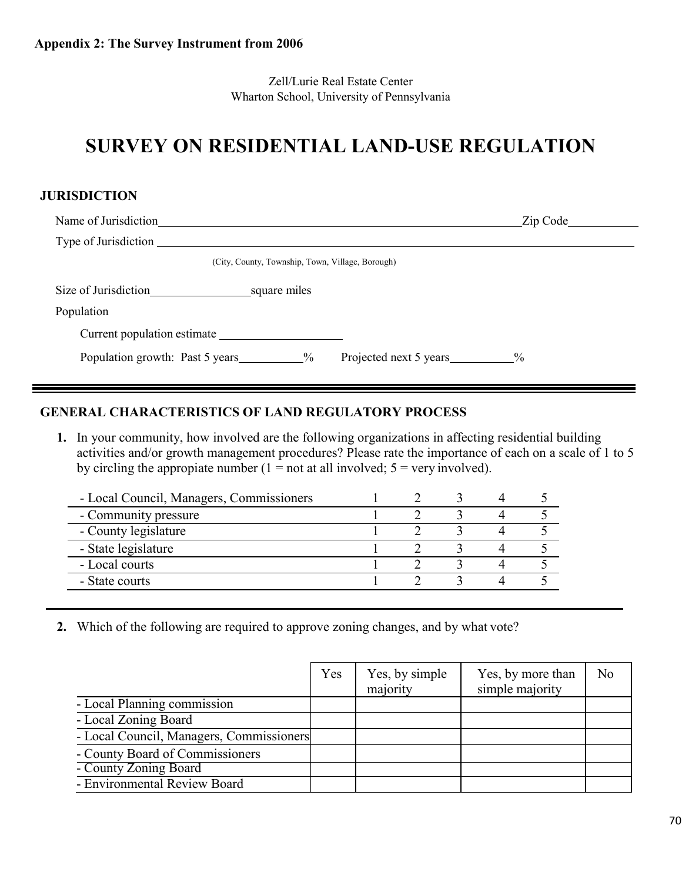Zell/Lurie Real Estate Center Wharton School, University of Pennsylvania

# **SURVEY ON RESIDENTIAL LAND-USE REGULATION**

### **JURISDICTION**

| Name of Jurisdiction                                              | Zip Code      |
|-------------------------------------------------------------------|---------------|
| Type of Jurisdiction                                              |               |
| (City, County, Township, Town, Village, Borough)                  |               |
| Size of Jurisdiction<br><u>square</u> miles                       |               |
| Population                                                        |               |
| Current population estimate                                       |               |
| Population growth: Past 5 years<br>$\%$<br>Projected next 5 years | $\frac{0}{0}$ |

## **GENERAL CHARACTERISTICS OF LAND REGULATORY PROCESS**

**1.** In your community, how involved are the following organizations in affecting residential building activities and/or growth management procedures? Please rate the importance of each on a scale of 1 to 5 by circling the appropiate number  $(1 = not at all involved; 5 = very involved).$ 

| - Local Council, Managers, Commissioners |  |  |  |
|------------------------------------------|--|--|--|
| - Community pressure                     |  |  |  |
| - County legislature                     |  |  |  |
| - State legislature                      |  |  |  |
| - Local courts                           |  |  |  |
| - State courts                           |  |  |  |
|                                          |  |  |  |

**2.** Which of the following are required to approve zoning changes, and by what vote?

|                                          | Yes | Yes, by simple<br>majority | Yes, by more than<br>simple majority | N <sub>o</sub> |
|------------------------------------------|-----|----------------------------|--------------------------------------|----------------|
| - Local Planning commission              |     |                            |                                      |                |
| - Local Zoning Board                     |     |                            |                                      |                |
| - Local Council, Managers, Commissioners |     |                            |                                      |                |
| - County Board of Commissioners          |     |                            |                                      |                |
| - County Zoning Board                    |     |                            |                                      |                |
| - Environmental Review Board             |     |                            |                                      |                |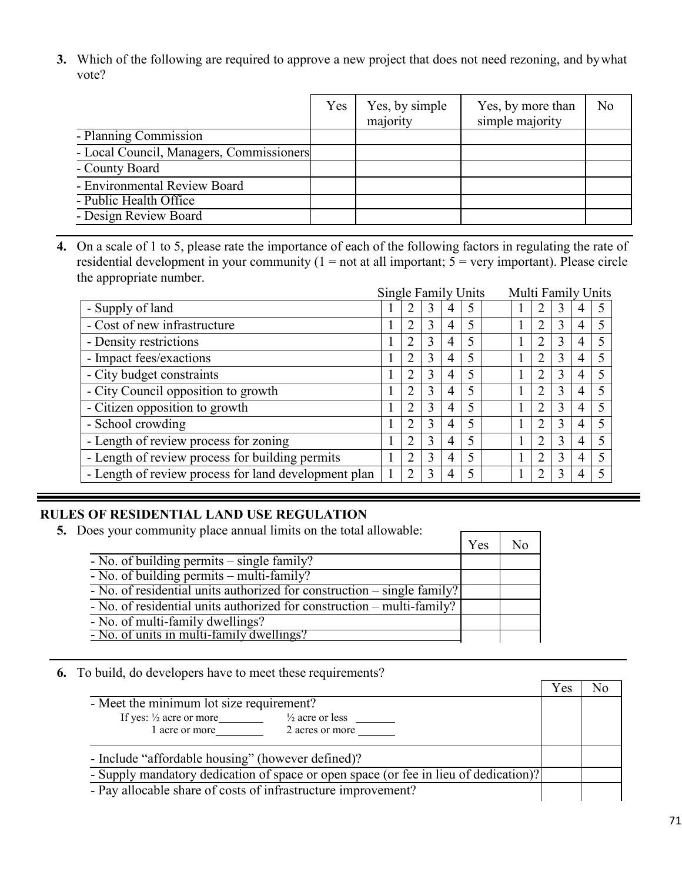**3.** Which of the following are required to approve a new project that does not need rezoning, and bywhat vote?

|                                          | Yes | Yes, by simple<br>majority | Yes, by more than<br>simple majority | N <sub>o</sub> |
|------------------------------------------|-----|----------------------------|--------------------------------------|----------------|
| - Planning Commission                    |     |                            |                                      |                |
| - Local Council, Managers, Commissioners |     |                            |                                      |                |
| - County Board                           |     |                            |                                      |                |
| - Environmental Review Board             |     |                            |                                      |                |
| - Public Health Office                   |     |                            |                                      |                |
| - Design Review Board                    |     |                            |                                      |                |

**4.** On a scale of 1 to 5, please rate the importance of each of the following factors in regulating the rate of residential development in your community ( $1 = not$  at all important;  $5 = very$  important). Please circle the appropriate number.

|                                                      | Single Family Units |   |   |   |   | Multi Family Units |                |   |   |  |
|------------------------------------------------------|---------------------|---|---|---|---|--------------------|----------------|---|---|--|
| - Supply of land                                     |                     | 2 |   |   |   |                    | $\overline{2}$ | 3 | 4 |  |
| - Cost of new infrastructure                         |                     | 2 | 3 | 4 | 5 |                    | $\overline{2}$ | 3 | 4 |  |
| - Density restrictions                               |                     | 2 | 3 | 4 | 5 |                    | $\overline{2}$ | 3 | 4 |  |
| - Impact fees/exactions                              |                     | 2 | 3 | 4 | 5 |                    | 2              | 3 | 4 |  |
| - City budget constraints                            |                     | 2 | 3 | 4 | 5 |                    | 2              | 3 | 4 |  |
| - City Council opposition to growth                  |                     | 2 | 3 | 4 | 5 |                    | 2              | 3 | 4 |  |
| - Citizen opposition to growth                       |                     | 2 | 3 | 4 | 5 |                    | $\overline{2}$ | 3 | 4 |  |
| - School crowding                                    |                     | 2 | 3 | 4 | 5 |                    | $\overline{2}$ | 3 | 4 |  |
| - Length of review process for zoning                |                     | 2 | 3 | 4 | 5 |                    | $\overline{2}$ | 3 | 4 |  |
| - Length of review process for building permits      |                     | 2 | 3 | 4 | 5 |                    | 2              | 3 | 4 |  |
| - Length of review process for land development plan |                     | 2 | 3 | 4 | 5 |                    |                | 3 | 4 |  |
|                                                      |                     |   |   |   |   |                    |                |   |   |  |

 $\overline{\Gamma}$ 

┑

┯

## **RULES OF RESIDENTIAL LAND USE REGULATION**

**5.** Does your community place annual limits on the total allowable:

|                                                                         | Yes | N٥ |
|-------------------------------------------------------------------------|-----|----|
| - No. of building permits – single family?                              |     |    |
| $\overline{-N_0}$ . of building permits – multi-family?                 |     |    |
| - No. of residential units authorized for construction – single family? |     |    |
| - No. of residential units authorized for construction – multi-family?  |     |    |
| - No. of multi-family dwellings?                                        |     |    |
| - No. of units in multi-family dwellings?                               |     |    |

### **6.** To build, do developers have to meet these requirements?

|                                                                                      | Y es |  |
|--------------------------------------------------------------------------------------|------|--|
| - Meet the minimum lot size requirement?                                             |      |  |
| If yes: $\frac{1}{2}$ acre or more<br>$\frac{1}{2}$ acre or less                     |      |  |
| 2 acres or more<br>1 acre or more                                                    |      |  |
| - Include "affordable housing" (however defined)?                                    |      |  |
| - Supply mandatory dedication of space or open space (or fee in lieu of dedication)? |      |  |
| - Pay allocable share of costs of infrastructure improvement?                        |      |  |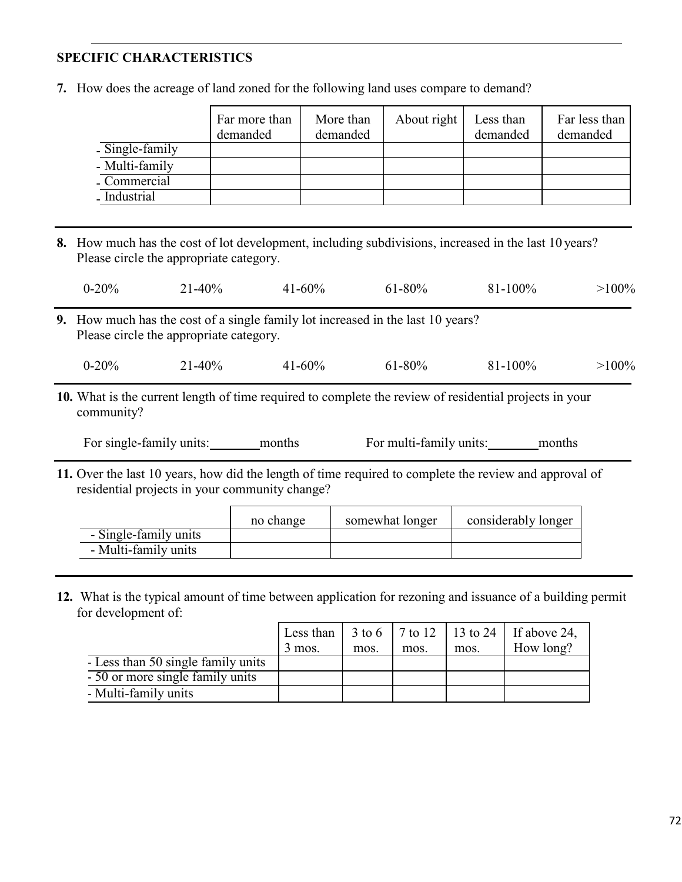## **SPECIFIC CHARACTERISTICS**

**7.** How does the acreage of land zoned for the following land uses compare to demand?

|                 | Far more than<br>demanded | More than<br>demanded | About right | Less than<br>demanded | Far less than<br>demanded |
|-----------------|---------------------------|-----------------------|-------------|-----------------------|---------------------------|
| - Single-family |                           |                       |             |                       |                           |
| - Multi-family  |                           |                       |             |                       |                           |
| - Commercial    |                           |                       |             |                       |                           |
| - Industrial    |                           |                       |             |                       |                           |

**8.** How much has the cost of lot development, including subdivisions, increased in the last 10 years? Please circle the appropriate category.

| $0 - 20\%$ | $1-40%$ | 41-60% | 61-80% | 81-100% | $>100\%$ |
|------------|---------|--------|--------|---------|----------|
|            |         |        |        |         |          |

**9.** How much has the cost of a single family lot increased in the last 10 years? Please circle the appropriate category.

| $0 - 20%$ | $-40%$ | 41-60% | $61 - 80\%$ | 81-100% | $>100\%$ |
|-----------|--------|--------|-------------|---------|----------|
|           |        |        |             |         |          |

**10.** What is the current length of time required to complete the review of residential projects in your community?

For single-family units: months For multi-family units: months

**11.** Over the last 10 years, how did the length of time required to complete the review and approval of residential projects in your community change?

|                       | no change | somewhat longer | considerably longer |
|-----------------------|-----------|-----------------|---------------------|
| - Single-family units |           |                 |                     |
| - Multi-family units  |           |                 |                     |

**12.** What is the typical amount of time between application for rezoning and issuance of a building permit for development of:

|                                    |          |      |      |      | Less than $\vert 3 \text{ to } 6 \vert 7 \text{ to } 12 \vert 13 \text{ to } 24 \vert$ If above 24, |
|------------------------------------|----------|------|------|------|-----------------------------------------------------------------------------------------------------|
|                                    | $3$ mos. | mos. | mos. | mos. | How long?                                                                                           |
| - Less than 50 single family units |          |      |      |      |                                                                                                     |
| - 50 or more single family units   |          |      |      |      |                                                                                                     |
| - Multi-family units               |          |      |      |      |                                                                                                     |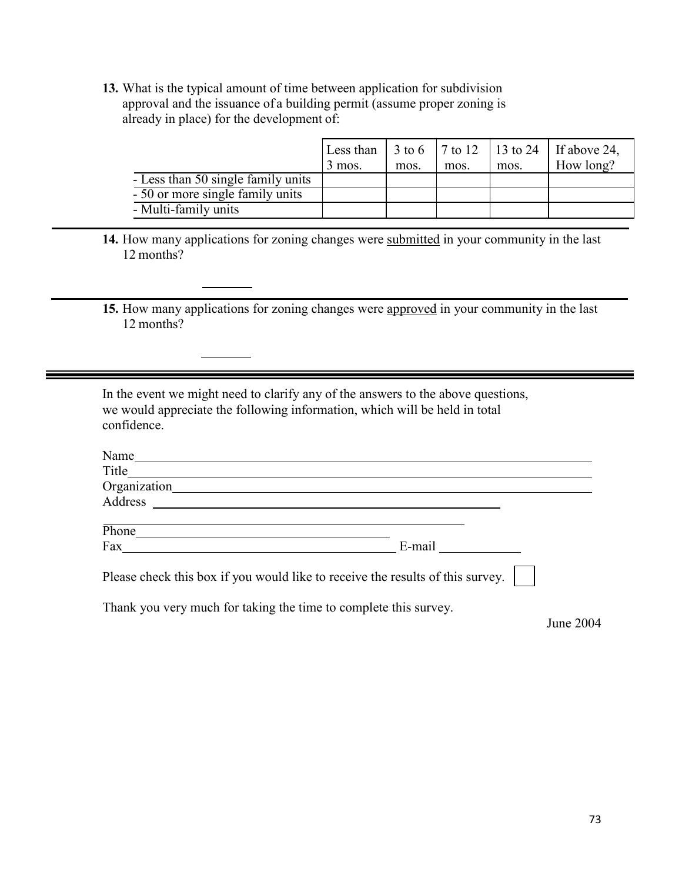**13.** What is the typical amount of time between application for subdivision approval and the issuance of a building permit (assume proper zoning is already in place) for the development of:

|                                    |          |      |      |      | Less than $\vert 3 \text{ to } 6 \vert 7 \text{ to } 12 \vert 13 \text{ to } 24 \vert$ If above 24, |
|------------------------------------|----------|------|------|------|-----------------------------------------------------------------------------------------------------|
|                                    | $3$ mos. | mos. | mos. | mos. | How long?                                                                                           |
| - Less than 50 single family units |          |      |      |      |                                                                                                     |
| - 50 or more single family units   |          |      |      |      |                                                                                                     |
| - Multi-family units               |          |      |      |      |                                                                                                     |

**14.** How many applications for zoning changes were submitted in your community in the last 12 months?

**15.** How many applications for zoning changes were approved in your community in the last 12 months?

In the event we might need to clarify any of the answers to the above questions, we would appreciate the following information, which will be held in total confidence.

| Name                                                                           |        |  |  |  |  |
|--------------------------------------------------------------------------------|--------|--|--|--|--|
| Title                                                                          |        |  |  |  |  |
| Organization                                                                   |        |  |  |  |  |
| Address                                                                        |        |  |  |  |  |
| Phone                                                                          |        |  |  |  |  |
| Fax                                                                            | E-mail |  |  |  |  |
| Please check this box if you would like to receive the results of this survey. |        |  |  |  |  |

Thank you very much for taking the time to complete this survey.

June 2004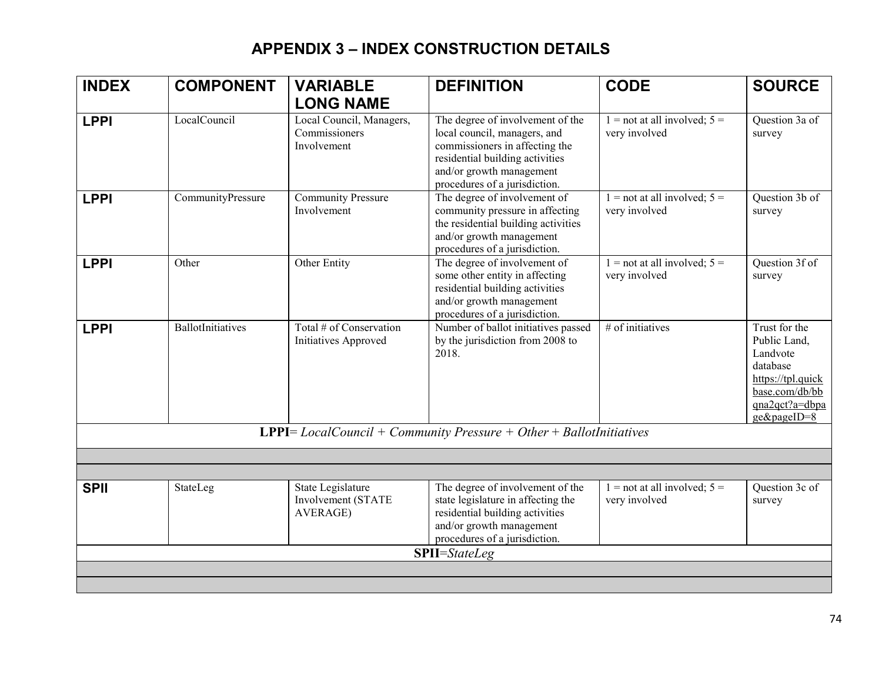## **APPENDIX 3 – INDEX CONSTRUCTION DETAILS**

| <b>INDEX</b> | <b>COMPONENT</b>  | <b>VARIABLE</b>                                          | <b>DEFINITION</b>                                                                                                                                                                                  | <b>CODE</b>                                       | <b>SOURCE</b>                                                                                                                 |
|--------------|-------------------|----------------------------------------------------------|----------------------------------------------------------------------------------------------------------------------------------------------------------------------------------------------------|---------------------------------------------------|-------------------------------------------------------------------------------------------------------------------------------|
|              |                   | <b>LONG NAME</b>                                         |                                                                                                                                                                                                    |                                                   |                                                                                                                               |
| <b>LPPI</b>  | LocalCouncil      | Local Council, Managers,<br>Commissioners<br>Involvement | The degree of involvement of the<br>local council, managers, and<br>commissioners in affecting the<br>residential building activities<br>and/or growth management<br>procedures of a jurisdiction. | $1 =$ not at all involved; $5 =$<br>very involved | Question 3a of<br>survey                                                                                                      |
| <b>LPPI</b>  | CommunityPressure | <b>Community Pressure</b><br>Involvement                 | The degree of involvement of<br>community pressure in affecting<br>the residential building activities<br>and/or growth management<br>procedures of a jurisdiction.                                | $1 =$ not at all involved; $5 =$<br>very involved | Question 3b of<br>survey                                                                                                      |
| <b>LPPI</b>  | Other             | Other Entity                                             | The degree of involvement of<br>some other entity in affecting<br>residential building activities<br>and/or growth management<br>procedures of a jurisdiction.                                     | $1 =$ not at all involved; $5 =$<br>very involved | Question 3f of<br>survey                                                                                                      |
| <b>LPPI</b>  | BallotInitiatives | Total # of Conservation<br>Initiatives Approved          | Number of ballot initiatives passed<br>by the jurisdiction from 2008 to<br>2018.                                                                                                                   | # of initiatives                                  | Trust for the<br>Public Land,<br>Landvote<br>database<br>https://tpl.quick<br>base.com/db/bb<br>qna2qct?a=dbpa<br>ge&pageID=8 |
|              |                   |                                                          | <b>LPPI</b> = $LocalCount + Community Pressure + Other + BallotInitiations$                                                                                                                        |                                                   |                                                                                                                               |
|              |                   |                                                          |                                                                                                                                                                                                    |                                                   |                                                                                                                               |
|              |                   |                                                          |                                                                                                                                                                                                    |                                                   |                                                                                                                               |
| <b>SPII</b>  | StateLeg          | State Legislature<br>Involvement (STATE<br>AVERAGE)      | The degree of involvement of the<br>state legislature in affecting the<br>residential building activities<br>and/or growth management<br>procedures of a jurisdiction.                             | $1 =$ not at all involved; $5 =$<br>very involved | Question 3c of<br>survey                                                                                                      |
|              |                   |                                                          | <b>SPII</b> =StateLeg                                                                                                                                                                              |                                                   |                                                                                                                               |
|              |                   |                                                          |                                                                                                                                                                                                    |                                                   |                                                                                                                               |
|              |                   |                                                          |                                                                                                                                                                                                    |                                                   |                                                                                                                               |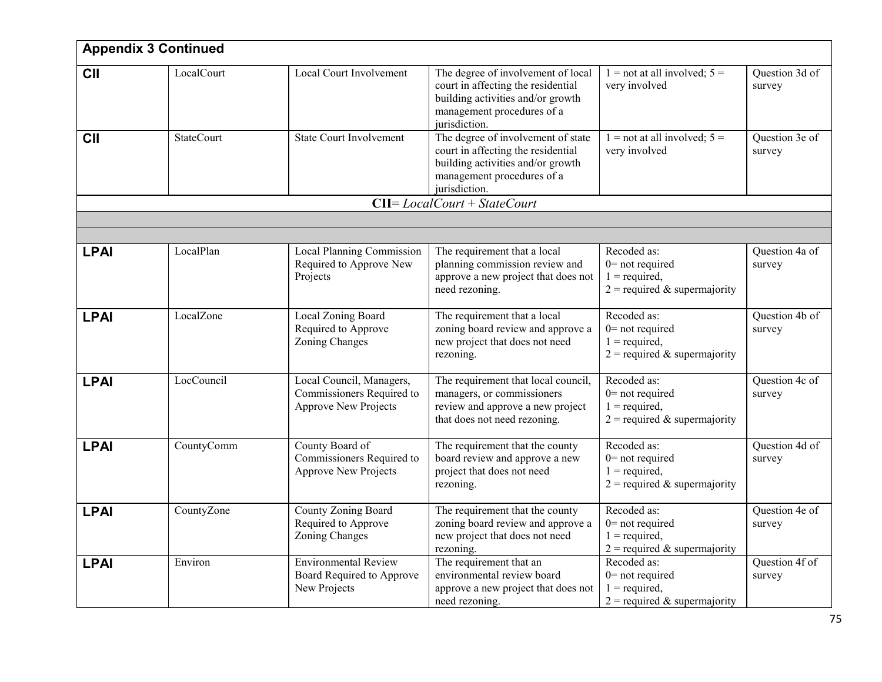|             | <b>Appendix 3 Continued</b> |                                                                                      |                                                                                                                                                              |                                                                                        |                          |
|-------------|-----------------------------|--------------------------------------------------------------------------------------|--------------------------------------------------------------------------------------------------------------------------------------------------------------|----------------------------------------------------------------------------------------|--------------------------|
| <b>CII</b>  | LocalCourt                  | Local Court Involvement                                                              | The degree of involvement of local<br>court in affecting the residential<br>building activities and/or growth<br>management procedures of a<br>jurisdiction. | $1 =$ not at all involved; $5 =$<br>very involved                                      | Question 3d of<br>survey |
| <b>CII</b>  | <b>StateCourt</b>           | <b>State Court Involvement</b>                                                       | The degree of involvement of state<br>court in affecting the residential<br>building activities and/or growth<br>management procedures of a<br>jurisdiction. | $1 =$ not at all involved; $5 =$<br>very involved                                      | Question 3e of<br>survey |
|             |                             |                                                                                      | $CII = Local Court + StateCount$                                                                                                                             |                                                                                        |                          |
|             |                             |                                                                                      |                                                                                                                                                              |                                                                                        |                          |
|             |                             |                                                                                      |                                                                                                                                                              |                                                                                        |                          |
| <b>LPAI</b> | LocalPlan                   | Local Planning Commission<br>Required to Approve New<br>Projects                     | The requirement that a local<br>planning commission review and<br>approve a new project that does not<br>need rezoning.                                      | Recoded as:<br>$0$ = not required<br>$1 = required,$<br>$2$ = required & supermajority | Question 4a of<br>survey |
| <b>LPAI</b> | LocalZone                   | Local Zoning Board<br>Required to Approve<br>Zoning Changes                          | The requirement that a local<br>zoning board review and approve a<br>new project that does not need<br>rezoning.                                             | Recoded as:<br>$0$ = not required<br>$1 = required,$<br>$2$ = required & supermajority | Question 4b of<br>survey |
| <b>LPAI</b> | LocCouncil                  | Local Council, Managers,<br>Commissioners Required to<br><b>Approve New Projects</b> | The requirement that local council,<br>managers, or commissioners<br>review and approve a new project<br>that does not need rezoning.                        | Recoded as:<br>$0$ = not required<br>$1 = required,$<br>$2$ = required & supermajority | Question 4c of<br>survey |
| <b>LPAI</b> | CountyComm                  | County Board of<br>Commissioners Required to<br><b>Approve New Projects</b>          | The requirement that the county<br>board review and approve a new<br>project that does not need<br>rezoning.                                                 | Recoded as:<br>$0$ = not required<br>$1 = required,$<br>$2$ = required & supermajority | Question 4d of<br>survey |
| <b>LPAI</b> | CountyZone                  | County Zoning Board<br>Required to Approve<br>Zoning Changes                         | The requirement that the county<br>zoning board review and approve a<br>new project that does not need<br>rezoning.                                          | Recoded as:<br>$0$ = not required<br>$1 = required,$<br>$2$ = required & supermajority | Question 4e of<br>survey |
| <b>LPAI</b> | Environ                     | <b>Environmental Review</b><br>Board Required to Approve<br>New Projects             | The requirement that an<br>environmental review board<br>approve a new project that does not<br>need rezoning.                                               | Recoded as:<br>$0$ = not required<br>$1 = required,$<br>$2$ = required & supermajority | Question 4f of<br>survey |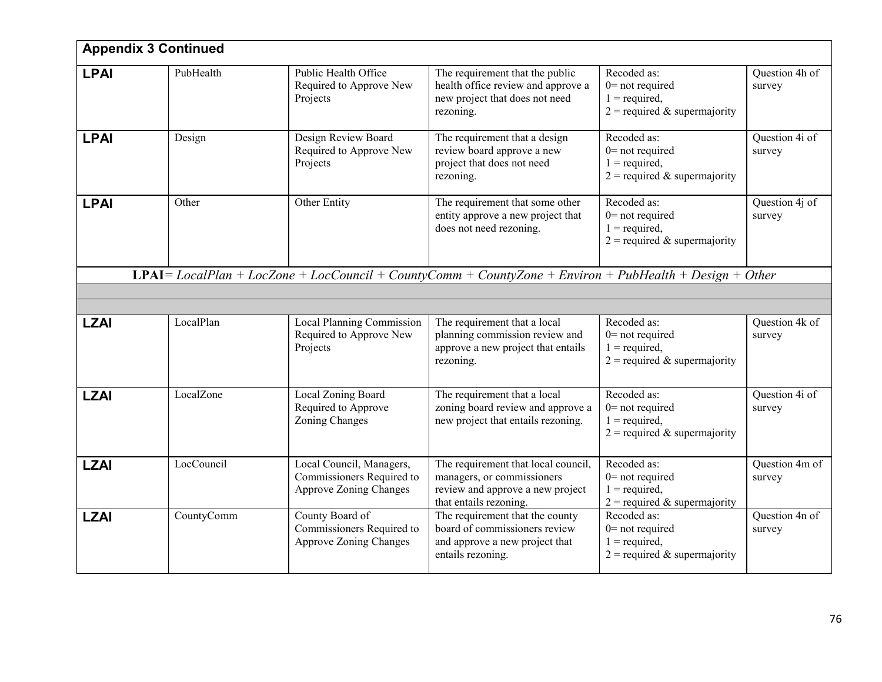|             | <b>Appendix 3 Continued</b> |                                                                                        |                                                                                                                                 |                                                                                         |                          |
|-------------|-----------------------------|----------------------------------------------------------------------------------------|---------------------------------------------------------------------------------------------------------------------------------|-----------------------------------------------------------------------------------------|--------------------------|
| <b>LPAI</b> | PubHealth                   | Public Health Office<br>Required to Approve New<br>Projects                            | The requirement that the public<br>health office review and approve a<br>new project that does not need<br>rezoning.            | Recoded as:<br>$0$ = not required<br>$1 = required,$<br>$2$ = required & supermajority  | Question 4h of<br>survey |
| <b>LPAI</b> | Design                      | Design Review Board<br>Required to Approve New<br>Projects                             | The requirement that a design<br>review board approve a new<br>project that does not need<br>rezoning.                          | Recoded as:<br>$0$ = not required<br>$1 = required,$<br>$2$ = required & supermajority  | Question 4i of<br>survey |
| <b>LPAI</b> | Other                       | Other Entity                                                                           | The requirement that some other<br>entity approve a new project that<br>does not need rezoning.                                 | Recoded as:<br>$0$ = not required<br>$1 = required,$<br>$2$ = required & supermajority  | Question 4j of<br>survey |
|             |                             |                                                                                        | $LPAI = LocalPlan + LocZone + LocCount + CountyComm + CountyZone + Environment + PubHealth + Design + Other$                    |                                                                                         |                          |
|             |                             |                                                                                        |                                                                                                                                 |                                                                                         |                          |
|             |                             |                                                                                        |                                                                                                                                 |                                                                                         |                          |
| <b>LZAI</b> | LocalPlan                   | Local Planning Commission<br>Required to Approve New<br>Projects                       | The requirement that a local<br>planning commission review and<br>approve a new project that entails<br>rezoning.               | Recoded as:<br>$0$ = not required<br>$1 = required,$<br>$2$ = required & supermajority  | Question 4k of<br>survey |
| <b>LZAI</b> | LocalZone                   | Local Zoning Board<br>Required to Approve<br>Zoning Changes                            | The requirement that a local<br>zoning board review and approve a<br>new project that entails rezoning.                         | Recoded as:<br>$0$ = not required<br>$1 = required$ ,<br>$2$ = required & supermajority | Question 4i of<br>survey |
| <b>LZAI</b> | LocCouncil                  | Local Council, Managers,<br>Commissioners Required to<br><b>Approve Zoning Changes</b> | The requirement that local council,<br>managers, or commissioners<br>review and approve a new project<br>that entails rezoning. | Recoded as:<br>$0$ = not required<br>$1 = required,$<br>$2$ = required & supermajority  | Question 4m of<br>survey |
| <b>LZAI</b> | CountyComm                  | County Board of<br>Commissioners Required to<br><b>Approve Zoning Changes</b>          | The requirement that the county<br>board of commissioners review<br>and approve a new project that<br>entails rezoning.         | Recoded as:<br>$0$ = not required<br>$1 = required$ ,<br>$2$ = required & supermajority | Question 4n of<br>survey |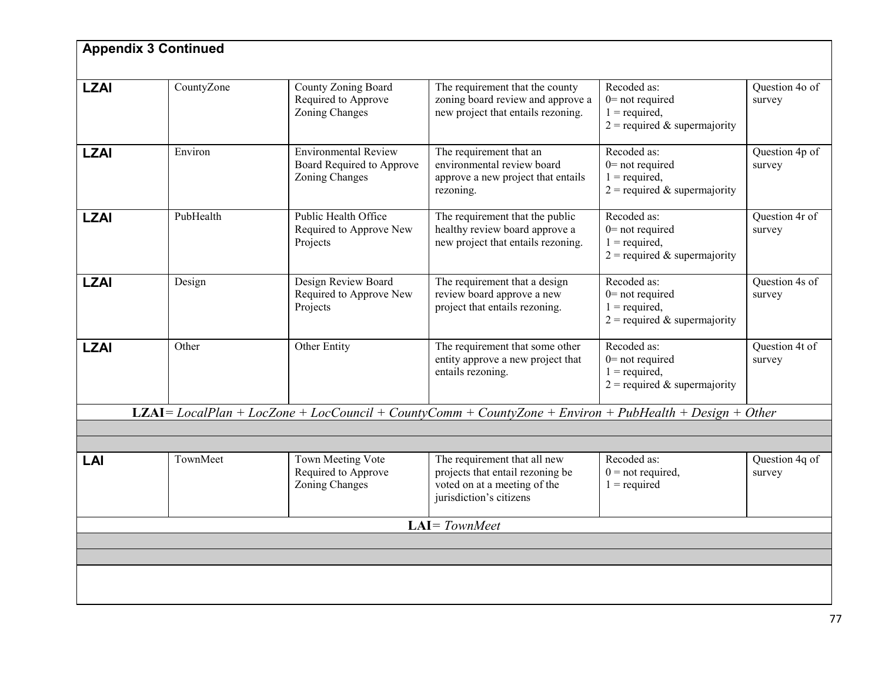|             | <b>Appendix 3 Continued</b> |                                                                            |                                                                                                                             |                                                                                        |                          |  |  |
|-------------|-----------------------------|----------------------------------------------------------------------------|-----------------------------------------------------------------------------------------------------------------------------|----------------------------------------------------------------------------------------|--------------------------|--|--|
| <b>LZAI</b> | CountyZone                  | County Zoning Board<br>Required to Approve<br>Zoning Changes               | The requirement that the county<br>zoning board review and approve a<br>new project that entails rezoning.                  | Recoded as:<br>$0$ = not required<br>$1 = required,$<br>$2$ = required & supermajority | Question 4o of<br>survey |  |  |
| <b>LZAI</b> | Environ                     | <b>Environmental Review</b><br>Board Required to Approve<br>Zoning Changes | The requirement that an<br>environmental review board<br>approve a new project that entails<br>rezoning.                    | Recoded as:<br>$0$ = not required<br>$1 = required,$<br>$2$ = required & supermajority | Question 4p of<br>survey |  |  |
| <b>LZAI</b> | PubHealth                   | Public Health Office<br>Required to Approve New<br>Projects                | The requirement that the public<br>healthy review board approve a<br>new project that entails rezoning.                     | Recoded as:<br>$0$ = not required<br>$1 = required,$<br>$2$ = required & supermajority | Question 4r of<br>survey |  |  |
| <b>LZAI</b> | Design                      | Design Review Board<br>Required to Approve New<br>Projects                 | The requirement that a design<br>review board approve a new<br>project that entails rezoning.                               | Recoded as:<br>$0$ = not required<br>$1 = required,$<br>$2$ = required & supermajority | Question 4s of<br>survey |  |  |
| <b>LZAI</b> | Other                       | Other Entity                                                               | The requirement that some other<br>entity approve a new project that<br>entails rezoning.                                   | Recoded as:<br>$0$ = not required<br>$1 = required,$<br>$2$ = required & supermajority | Question 4t of<br>survey |  |  |
|             |                             |                                                                            | <b>LZAI</b> = LocalPlan + LocZone + LocCouncil + CountyComm + CountyZone + Environ + PubHealth + Design + Other             |                                                                                        |                          |  |  |
|             |                             |                                                                            |                                                                                                                             |                                                                                        |                          |  |  |
| LAI         | TownMeet                    | Town Meeting Vote<br>Required to Approve<br>Zoning Changes                 | The requirement that all new<br>projects that entail rezoning be<br>voted on at a meeting of the<br>jurisdiction's citizens | Recoded as:<br>$0 = not required,$<br>$1 = required$                                   | Question 4q of<br>survey |  |  |
|             | $LAI = TownMeet$            |                                                                            |                                                                                                                             |                                                                                        |                          |  |  |
|             |                             |                                                                            |                                                                                                                             |                                                                                        |                          |  |  |
|             |                             |                                                                            |                                                                                                                             |                                                                                        |                          |  |  |
|             |                             |                                                                            |                                                                                                                             |                                                                                        |                          |  |  |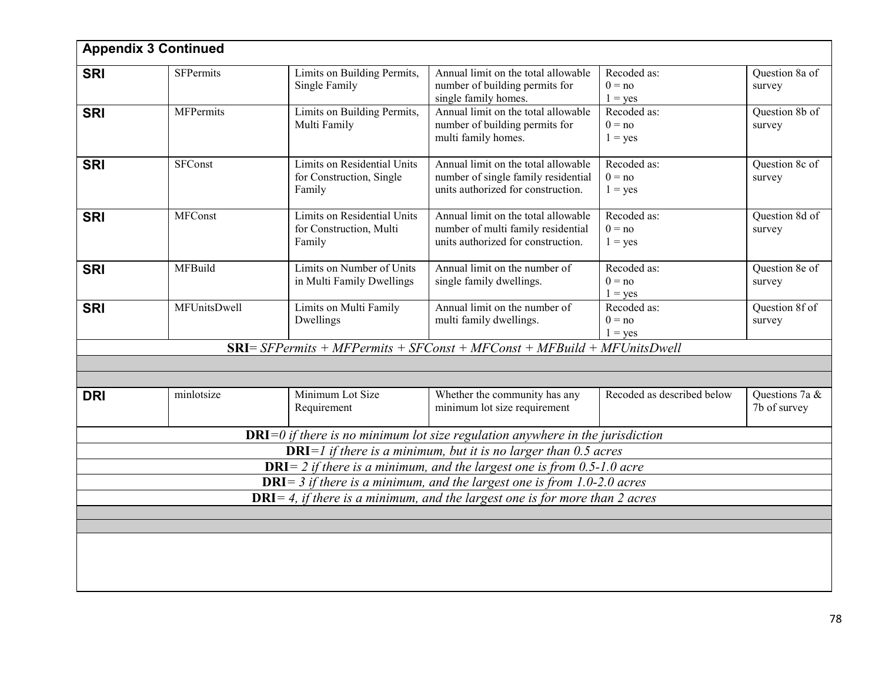|            | <b>Appendix 3 Continued</b> |                                                                   |                                                                                                                                                                        |                                      |                                |
|------------|-----------------------------|-------------------------------------------------------------------|------------------------------------------------------------------------------------------------------------------------------------------------------------------------|--------------------------------------|--------------------------------|
| <b>SRI</b> | <b>SFPermits</b>            | Limits on Building Permits,<br>Single Family                      | Annual limit on the total allowable<br>number of building permits for<br>single family homes.                                                                          | Recoded as:<br>$0 = no$<br>$1 = yes$ | Question 8a of<br>survey       |
| <b>SRI</b> | <b>MFPermits</b>            | Limits on Building Permits,<br>Multi Family                       | Annual limit on the total allowable<br>number of building permits for<br>multi family homes.                                                                           | Recoded as:<br>$0 = no$<br>$1 = yes$ | Question 8b of<br>survey       |
| <b>SRI</b> | <b>SFConst</b>              | Limits on Residential Units<br>for Construction, Single<br>Family | Annual limit on the total allowable<br>number of single family residential<br>units authorized for construction.                                                       | Recoded as:<br>$0 = no$<br>$1 = yes$ | Question 8c of<br>survey       |
| <b>SRI</b> | <b>MFConst</b>              | Limits on Residential Units<br>for Construction, Multi<br>Family  | Annual limit on the total allowable<br>number of multi family residential<br>units authorized for construction.                                                        | Recoded as:<br>$0 = no$<br>$1 = yes$ | Question 8d of<br>survey       |
| <b>SRI</b> | MFBuild                     | Limits on Number of Units<br>in Multi Family Dwellings            | Annual limit on the number of<br>single family dwellings.                                                                                                              | Recoded as:<br>$0 = no$<br>$1 = yes$ | Question 8e of<br>survey       |
| <b>SRI</b> | MFUnitsDwell                | Limits on Multi Family<br>Dwellings                               | Annual limit on the number of<br>multi family dwellings.                                                                                                               | Recoded as:<br>$0 = no$<br>$1 = yes$ | Question 8f of<br>survey       |
|            |                             |                                                                   | $SRI = SFPermits + MFPermits + SFConst + MFConst + MFBuild + MFUnitsDwell$                                                                                             |                                      |                                |
|            |                             |                                                                   |                                                                                                                                                                        |                                      |                                |
| <b>DRI</b> | minlotsize                  | Minimum Lot Size<br>Requirement                                   | Whether the community has any<br>minimum lot size requirement                                                                                                          | Recoded as described below           | Questions 7a &<br>7b of survey |
|            |                             |                                                                   | $DRI=0$ if there is no minimum lot size regulation anywhere in the jurisdiction                                                                                        |                                      |                                |
|            |                             |                                                                   | <b>DRI</b> $=$ <i>l</i> if there is a minimum, but it is no larger than 0.5 acres                                                                                      |                                      |                                |
|            |                             |                                                                   | <b>DRI</b> = 2 if there is a minimum, and the largest one is from $0.5$ -1.0 acre<br><b>DRI</b> = $3$ if there is a minimum, and the largest one is from 1.0-2.0 acres |                                      |                                |
|            |                             |                                                                   | $DRI = 4$ , if there is a minimum, and the largest one is for more than 2 acres                                                                                        |                                      |                                |
|            |                             |                                                                   |                                                                                                                                                                        |                                      |                                |
|            |                             |                                                                   |                                                                                                                                                                        |                                      |                                |
|            |                             |                                                                   |                                                                                                                                                                        |                                      |                                |
|            |                             |                                                                   |                                                                                                                                                                        |                                      |                                |
|            |                             |                                                                   |                                                                                                                                                                        |                                      |                                |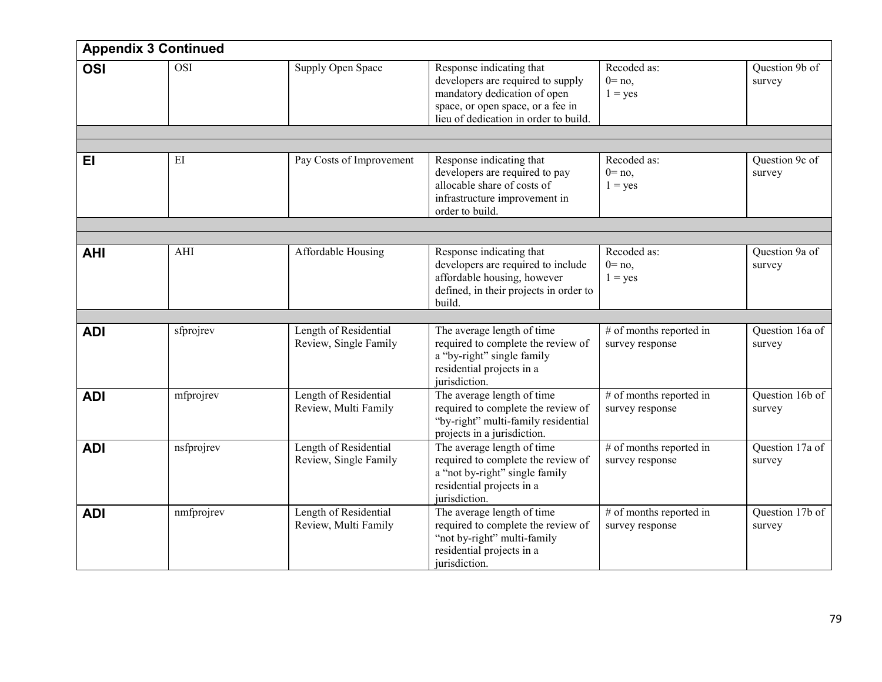|            | <b>Appendix 3 Continued</b> |                                                |                                                                                                                                                                             |                                            |                           |
|------------|-----------------------------|------------------------------------------------|-----------------------------------------------------------------------------------------------------------------------------------------------------------------------------|--------------------------------------------|---------------------------|
| <b>OSI</b> | <b>OSI</b>                  | Supply Open Space                              | Response indicating that<br>developers are required to supply<br>mandatory dedication of open<br>space, or open space, or a fee in<br>lieu of dedication in order to build. | Recoded as:<br>$0 = no$ ,<br>$1 = yes$     | Question 9b of<br>survey  |
| EI         | EI                          | Pay Costs of Improvement                       | Response indicating that<br>developers are required to pay<br>allocable share of costs of<br>infrastructure improvement in<br>order to build.                               | Recoded as:<br>$0 = no$ ,<br>$1 = yes$     | Question 9c of<br>survey  |
|            |                             |                                                |                                                                                                                                                                             |                                            |                           |
| <b>AHI</b> | AHI                         | Affordable Housing                             | Response indicating that<br>developers are required to include<br>affordable housing, however<br>defined, in their projects in order to<br>build.                           | Recoded as:<br>$0 = no$ ,<br>$1 = yes$     | Question 9a of<br>survey  |
|            |                             |                                                |                                                                                                                                                                             |                                            |                           |
| <b>ADI</b> | sfprojrev                   | Length of Residential<br>Review, Single Family | The average length of time<br>required to complete the review of<br>a "by-right" single family<br>residential projects in a<br>jurisdiction.                                | # of months reported in<br>survey response | Question 16a of<br>survey |
| <b>ADI</b> | mfprojrev                   | Length of Residential<br>Review, Multi Family  | The average length of time<br>required to complete the review of<br>"by-right" multi-family residential<br>projects in a jurisdiction.                                      | # of months reported in<br>survey response | Question 16b of<br>survey |
| <b>ADI</b> | nsfprojrev                  | Length of Residential<br>Review, Single Family | The average length of time<br>required to complete the review of<br>a "not by-right" single family<br>residential projects in a<br>jurisdiction.                            | # of months reported in<br>survey response | Question 17a of<br>survey |
| <b>ADI</b> | nmfprojrev                  | Length of Residential<br>Review, Multi Family  | The average length of time<br>required to complete the review of<br>"not by-right" multi-family<br>residential projects in a<br>jurisdiction.                               | # of months reported in<br>survey response | Question 17b of<br>survey |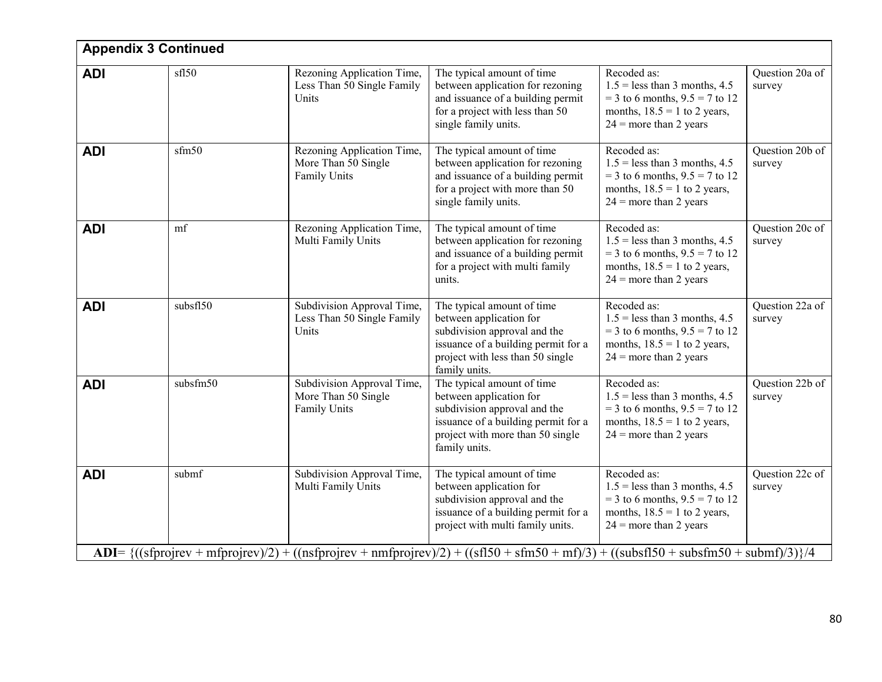|            | <b>Appendix 3 Continued</b>                                                                                                                                                                                                                  |                                                                   |                                                                                                                                                                                   |                                                                                                                                                    |                           |  |  |  |
|------------|----------------------------------------------------------------------------------------------------------------------------------------------------------------------------------------------------------------------------------------------|-------------------------------------------------------------------|-----------------------------------------------------------------------------------------------------------------------------------------------------------------------------------|----------------------------------------------------------------------------------------------------------------------------------------------------|---------------------------|--|--|--|
| <b>ADI</b> | sf150                                                                                                                                                                                                                                        | Rezoning Application Time,<br>Less Than 50 Single Family<br>Units | The typical amount of time<br>between application for rezoning<br>and issuance of a building permit<br>for a project with less than 50<br>single family units.                    | Recoded as:<br>$1.5$ = less than 3 months, 4.5<br>$=$ 3 to 6 months, 9.5 $=$ 7 to 12<br>months, $18.5 = 1$ to 2 years,<br>$24$ = more than 2 years | Question 20a of<br>survey |  |  |  |
| <b>ADI</b> | sfm50                                                                                                                                                                                                                                        | Rezoning Application Time,<br>More Than 50 Single<br>Family Units | The typical amount of time<br>between application for rezoning<br>and issuance of a building permit<br>for a project with more than 50<br>single family units.                    | Recoded as:<br>$1.5$ = less than 3 months, 4.5<br>$=$ 3 to 6 months, 9.5 $=$ 7 to 12<br>months, $18.5 = 1$ to 2 years,<br>$24$ = more than 2 years | Question 20b of<br>survey |  |  |  |
| <b>ADI</b> | mf                                                                                                                                                                                                                                           | Rezoning Application Time,<br>Multi Family Units                  | The typical amount of time<br>between application for rezoning<br>and issuance of a building permit<br>for a project with multi family<br>units.                                  | Recoded as:<br>$1.5$ = less than 3 months, 4.5<br>$=$ 3 to 6 months, 9.5 $=$ 7 to 12<br>months, $18.5 = 1$ to 2 years,<br>$24$ = more than 2 years | Question 20c of<br>survey |  |  |  |
| <b>ADI</b> | subsfl50                                                                                                                                                                                                                                     | Subdivision Approval Time,<br>Less Than 50 Single Family<br>Units | The typical amount of time<br>between application for<br>subdivision approval and the<br>issuance of a building permit for a<br>project with less than 50 single<br>family units. | Recoded as:<br>$1.5$ = less than 3 months, 4.5<br>$=$ 3 to 6 months, 9.5 $=$ 7 to 12<br>months, $18.5 = 1$ to 2 years,<br>$24$ = more than 2 years | Question 22a of<br>survey |  |  |  |
| <b>ADI</b> | subsfm50                                                                                                                                                                                                                                     | Subdivision Approval Time,<br>More Than 50 Single<br>Family Units | The typical amount of time<br>between application for<br>subdivision approval and the<br>issuance of a building permit for a<br>project with more than 50 single<br>family units. | Recoded as:<br>$1.5$ = less than 3 months, 4.5<br>$=$ 3 to 6 months, 9.5 $=$ 7 to 12<br>months, $18.5 = 1$ to 2 years,<br>$24$ = more than 2 years | Question 22b of<br>survey |  |  |  |
| <b>ADI</b> | submf                                                                                                                                                                                                                                        | Subdivision Approval Time,<br>Multi Family Units                  | The typical amount of time<br>between application for<br>subdivision approval and the<br>issuance of a building permit for a<br>project with multi family units.                  | Recoded as:<br>$1.5$ = less than 3 months, 4.5<br>$=$ 3 to 6 months, 9.5 $=$ 7 to 12<br>months, $18.5 = 1$ to 2 years,<br>$24$ = more than 2 years | Question 22c of<br>survey |  |  |  |
|            | ADI= $\{((\text{stprojective} + \text{mfprojective})/2) + ((\text{nsfprojective} + \text{nmfprojective})/2) + ((\text{sf150} + \text{sfm50} + \text{mf})/3) + ((\text{subsf150} + \text{subsfm50} + \text{subsfm50} + \text{subsfm50})/3)\}$ |                                                                   |                                                                                                                                                                                   |                                                                                                                                                    |                           |  |  |  |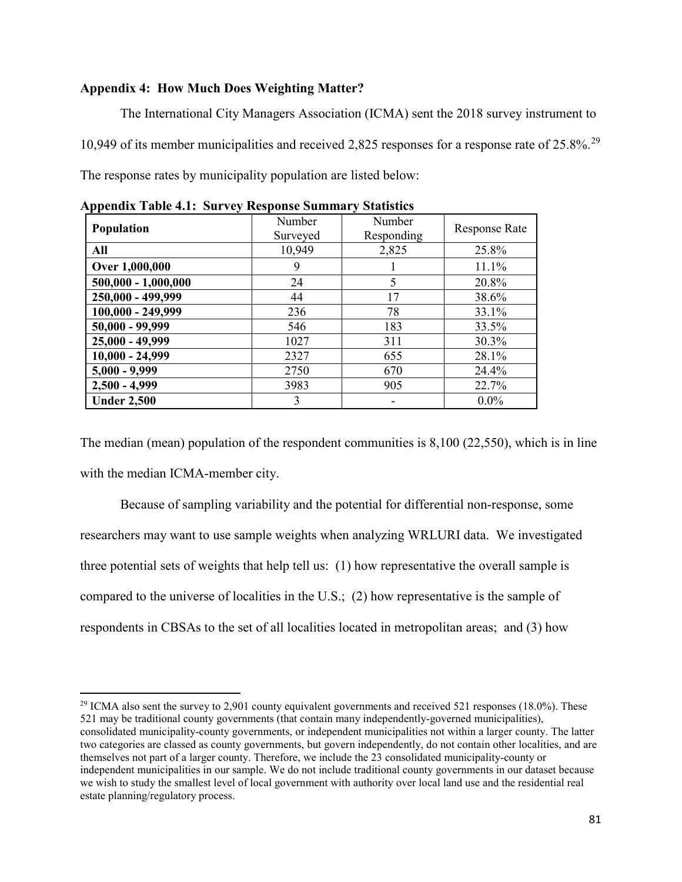#### **Appendix 4: How Much Does Weighting Matter?**

l

The International City Managers Association (ICMA) sent the 2018 survey instrument to 10,949 of its member municipalities and received 2,825 responses for a response rate of 25.8%.[29](#page-17-0) The response rates by municipality population are listed below:

| Population            | Number   | Number     | <b>Response Rate</b> |  |
|-----------------------|----------|------------|----------------------|--|
|                       | Surveyed | Responding |                      |  |
| All                   | 10,949   | 2,825      | 25.8%                |  |
| Over 1,000,000        | 9        |            | 11.1%                |  |
| $500,000 - 1,000,000$ | 24       | 5          | 20.8%                |  |
| 250,000 - 499,999     | 44       | 17         | 38.6%                |  |
| 100,000 - 249,999     | 236      | 78         | 33.1%                |  |
| 50,000 - 99,999       | 546      | 183        | 33.5%                |  |
| 25,000 - 49,999       | 1027     | 311        | 30.3%                |  |
| $10,000 - 24,999$     | 2327     | 655        | 28.1%                |  |
| $5,000 - 9,999$       | 2750     | 670        | 24.4%                |  |
| $2,500 - 4,999$       | 3983     | 905        | 22.7%                |  |
| <b>Under 2,500</b>    | 3        |            | $0.0\%$              |  |

**Appendix Table 4.1: Survey Response Summary Statistics**

The median (mean) population of the respondent communities is 8,100 (22,550), which is in line with the median ICMA-member city.

Because of sampling variability and the potential for differential non-response, some researchers may want to use sample weights when analyzing WRLURI data. We investigated three potential sets of weights that help tell us: (1) how representative the overall sample is compared to the universe of localities in the U.S.; (2) how representative is the sample of respondents in CBSAs to the set of all localities located in metropolitan areas; and (3) how

<span id="page-17-0"></span> $^{29}$  ICMA also sent the survey to 2,901 county equivalent governments and received 521 responses (18.0%). These 521 may be traditional county governments (that contain many independently-governed municipalities), consolidated municipality-county governments, or independent municipalities not within a larger county. The latter two categories are classed as county governments, but govern independently, do not contain other localities, and are themselves not part of a larger county. Therefore, we include the 23 consolidated municipality-county or independent municipalities in our sample. We do not include traditional county governments in our dataset because we wish to study the smallest level of local government with authority over local land use and the residential real estate planning/regulatory process.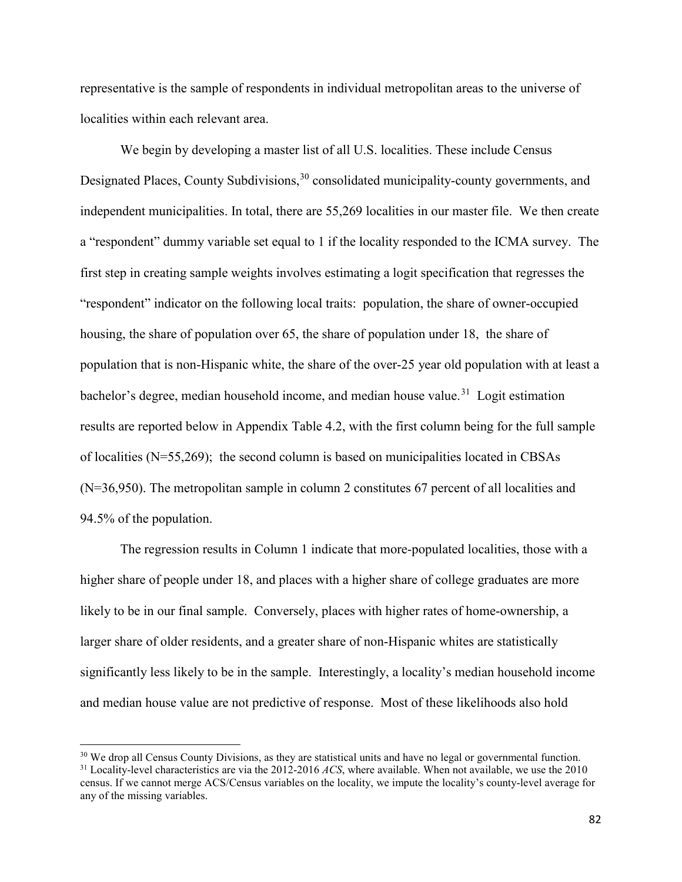representative is the sample of respondents in individual metropolitan areas to the universe of localities within each relevant area.

We begin by developing a master list of all U.S. localities. These include Census Designated Places, County Subdivisions,  $30$  consolidated municipality-county governments, and independent municipalities. In total, there are 55,269 localities in our master file. We then create a "respondent" dummy variable set equal to 1 if the locality responded to the ICMA survey. The first step in creating sample weights involves estimating a logit specification that regresses the "respondent" indicator on the following local traits: population, the share of owner-occupied housing, the share of population over 65, the share of population under 18, the share of population that is non-Hispanic white, the share of the over-25 year old population with at least a bachelor's degree, median household income, and median house value.<sup>[31](#page-18-1)</sup> Logit estimation results are reported below in Appendix Table 4.2, with the first column being for the full sample of localities (N=55,269); the second column is based on municipalities located in CBSAs (N=36,950). The metropolitan sample in column 2 constitutes 67 percent of all localities and 94.5% of the population.

The regression results in Column 1 indicate that more-populated localities, those with a higher share of people under 18, and places with a higher share of college graduates are more likely to be in our final sample. Conversely, places with higher rates of home-ownership, a larger share of older residents, and a greater share of non-Hispanic whites are statistically significantly less likely to be in the sample. Interestingly, a locality's median household income and median house value are not predictive of response. Most of these likelihoods also hold

l

<span id="page-18-1"></span><span id="page-18-0"></span><sup>&</sup>lt;sup>30</sup> We drop all Census County Divisions, as they are statistical units and have no legal or governmental function. <sup>31</sup> Locality-level characteristics are via the 2012-2016 *ACS*, where available. When not available, we use the 2010 census. If we cannot merge ACS/Census variables on the locality, we impute the locality's county-level average for any of the missing variables.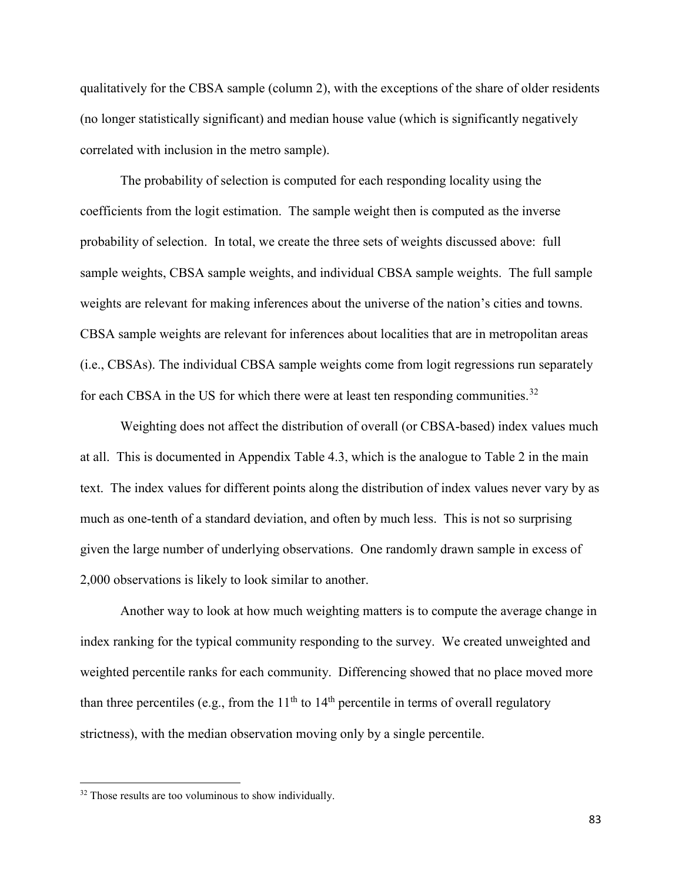qualitatively for the CBSA sample (column 2), with the exceptions of the share of older residents (no longer statistically significant) and median house value (which is significantly negatively correlated with inclusion in the metro sample).

The probability of selection is computed for each responding locality using the coefficients from the logit estimation. The sample weight then is computed as the inverse probability of selection. In total, we create the three sets of weights discussed above: full sample weights, CBSA sample weights, and individual CBSA sample weights. The full sample weights are relevant for making inferences about the universe of the nation's cities and towns. CBSA sample weights are relevant for inferences about localities that are in metropolitan areas (i.e., CBSAs). The individual CBSA sample weights come from logit regressions run separately for each CBSA in the US for which there were at least ten responding communities.<sup>[32](#page-19-0)</sup>

Weighting does not affect the distribution of overall (or CBSA-based) index values much at all. This is documented in Appendix Table 4.3, which is the analogue to Table 2 in the main text. The index values for different points along the distribution of index values never vary by as much as one-tenth of a standard deviation, and often by much less. This is not so surprising given the large number of underlying observations. One randomly drawn sample in excess of 2,000 observations is likely to look similar to another.

Another way to look at how much weighting matters is to compute the average change in index ranking for the typical community responding to the survey. We created unweighted and weighted percentile ranks for each community. Differencing showed that no place moved more than three percentiles (e.g., from the  $11<sup>th</sup>$  to  $14<sup>th</sup>$  percentile in terms of overall regulatory strictness), with the median observation moving only by a single percentile.

l

<span id="page-19-0"></span><sup>&</sup>lt;sup>32</sup> Those results are too voluminous to show individually.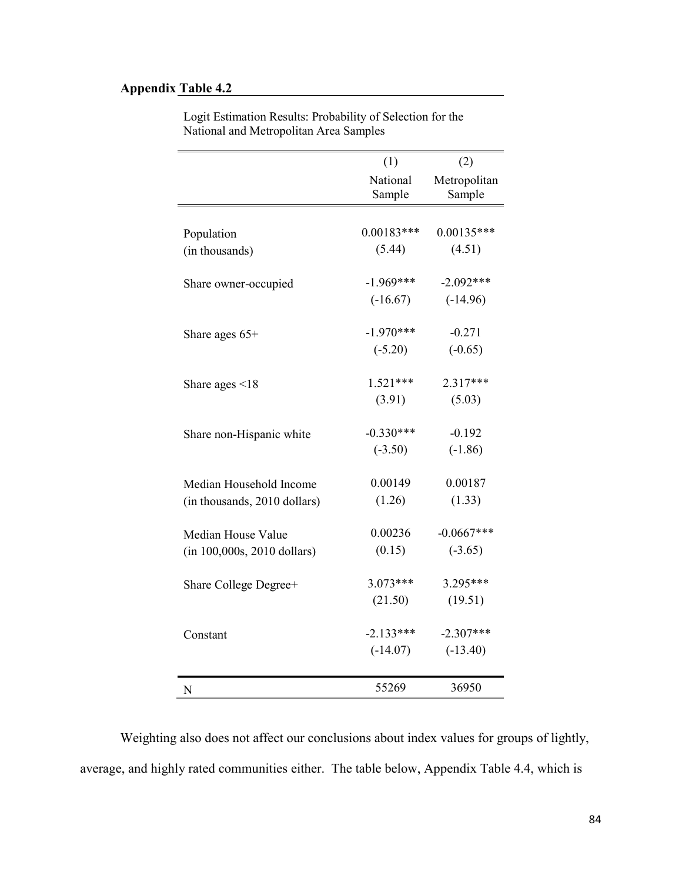## **Appendix Table 4.2**

|                              | (1)                | (2)                    |
|------------------------------|--------------------|------------------------|
|                              | National<br>Sample | Metropolitan<br>Sample |
|                              |                    |                        |
| Population                   | $0.00183***$       | $0.00135***$           |
| (in thousands)               | (5.44)             | (4.51)                 |
| Share owner-occupied         | $-1.969***$        | $-2.092***$            |
|                              | $(-16.67)$         | $(-14.96)$             |
| Share ages $65+$             | $-1.970***$        | $-0.271$               |
|                              | $(-5.20)$          | $(-0.65)$              |
| Share ages $\leq 18$         | $1.521***$         | 2.317***               |
|                              | (3.91)             | (5.03)                 |
| Share non-Hispanic white     | $-0.330***$        | $-0.192$               |
|                              | $(-3.50)$          | $(-1.86)$              |
| Median Household Income      | 0.00149            | 0.00187                |
| (in thousands, 2010 dollars) | (1.26)             | (1.33)                 |
| Median House Value           | 0.00236            | $-0.0667***$           |
| (in 100,000s, 2010 dollars)  | (0.15)             | $(-3.65)$              |
| Share College Degree+        | $3.073***$         | 3.295***               |
|                              | (21.50)            | (19.51)                |
| Constant                     | $-2.133***$        | $-2.307***$            |
|                              | $(-14.07)$         | $(-13.40)$             |
| N                            | 55269              | 36950                  |

Logit Estimation Results: Probability of Selection for the National and Metropolitan Area Samples

Weighting also does not affect our conclusions about index values for groups of lightly, average, and highly rated communities either. The table below, Appendix Table 4.4, which is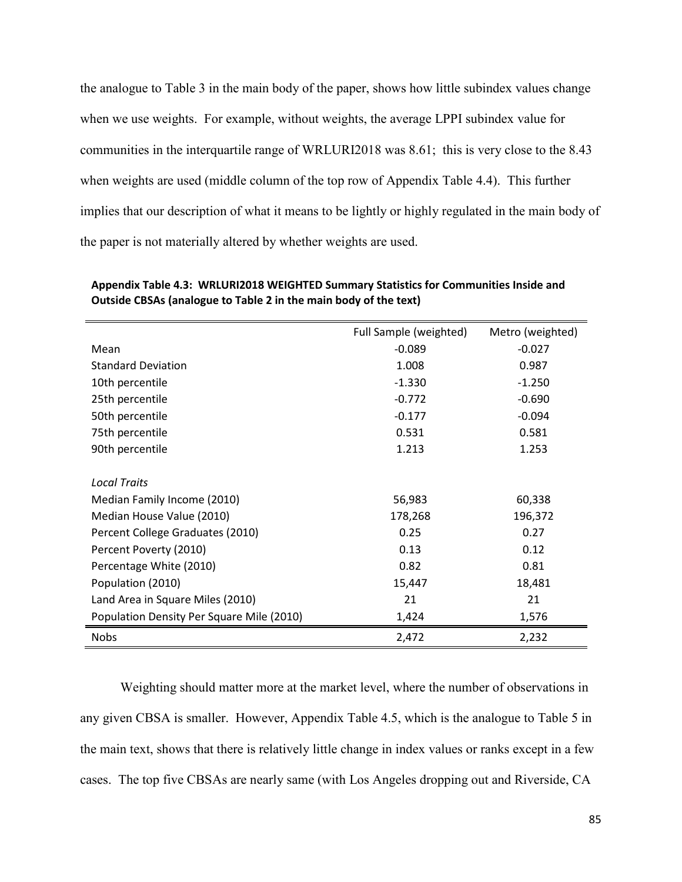the analogue to Table 3 in the main body of the paper, shows how little subindex values change when we use weights. For example, without weights, the average LPPI subindex value for communities in the interquartile range of WRLURI2018 was 8.61; this is very close to the 8.43 when weights are used (middle column of the top row of Appendix Table 4.4). This further implies that our description of what it means to be lightly or highly regulated in the main body of the paper is not materially altered by whether weights are used.

|                                           | Full Sample (weighted) | Metro (weighted) |
|-------------------------------------------|------------------------|------------------|
| Mean                                      | $-0.089$               | $-0.027$         |
| <b>Standard Deviation</b>                 | 1.008                  | 0.987            |
| 10th percentile                           | $-1.330$               | $-1.250$         |
| 25th percentile                           | $-0.772$               | $-0.690$         |
| 50th percentile                           | $-0.177$               | $-0.094$         |
| 75th percentile                           | 0.531                  | 0.581            |
| 90th percentile                           | 1.213                  | 1.253            |
|                                           |                        |                  |
| <b>Local Traits</b>                       |                        |                  |
| Median Family Income (2010)               | 56,983                 | 60,338           |
| Median House Value (2010)                 | 178,268                | 196,372          |
| Percent College Graduates (2010)          | 0.25                   | 0.27             |
| Percent Poverty (2010)                    | 0.13                   | 0.12             |
| Percentage White (2010)                   | 0.82                   | 0.81             |
| Population (2010)                         | 15,447                 | 18,481           |
| Land Area in Square Miles (2010)          | 21                     | 21               |
| Population Density Per Square Mile (2010) | 1,424                  | 1,576            |
| <b>Nobs</b>                               | 2,472                  | 2,232            |

**Appendix Table 4.3: WRLURI2018 WEIGHTED Summary Statistics for Communities Inside and Outside CBSAs (analogue to Table 2 in the main body of the text)**

Weighting should matter more at the market level, where the number of observations in any given CBSA is smaller. However, Appendix Table 4.5, which is the analogue to Table 5 in the main text, shows that there is relatively little change in index values or ranks except in a few cases. The top five CBSAs are nearly same (with Los Angeles dropping out and Riverside, CA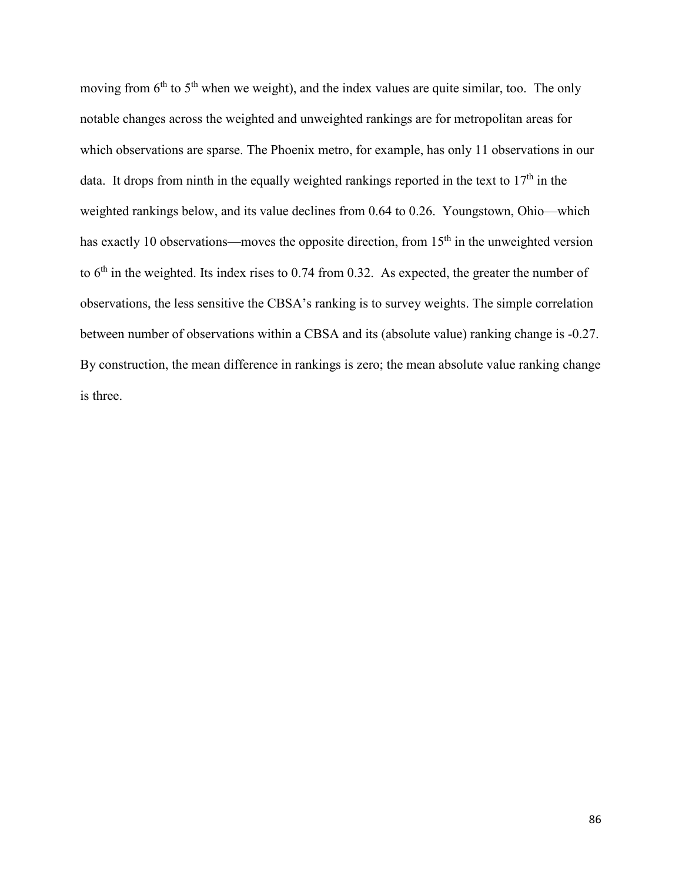moving from  $6<sup>th</sup>$  to  $5<sup>th</sup>$  when we weight), and the index values are quite similar, too. The only notable changes across the weighted and unweighted rankings are for metropolitan areas for which observations are sparse. The Phoenix metro, for example, has only 11 observations in our data. It drops from ninth in the equally weighted rankings reported in the text to  $17<sup>th</sup>$  in the weighted rankings below, and its value declines from 0.64 to 0.26. Youngstown, Ohio—which has exactly 10 observations—moves the opposite direction, from  $15<sup>th</sup>$  in the unweighted version to 6<sup>th</sup> in the weighted. Its index rises to 0.74 from 0.32. As expected, the greater the number of observations, the less sensitive the CBSA's ranking is to survey weights. The simple correlation between number of observations within a CBSA and its (absolute value) ranking change is -0.27. By construction, the mean difference in rankings is zero; the mean absolute value ranking change is three.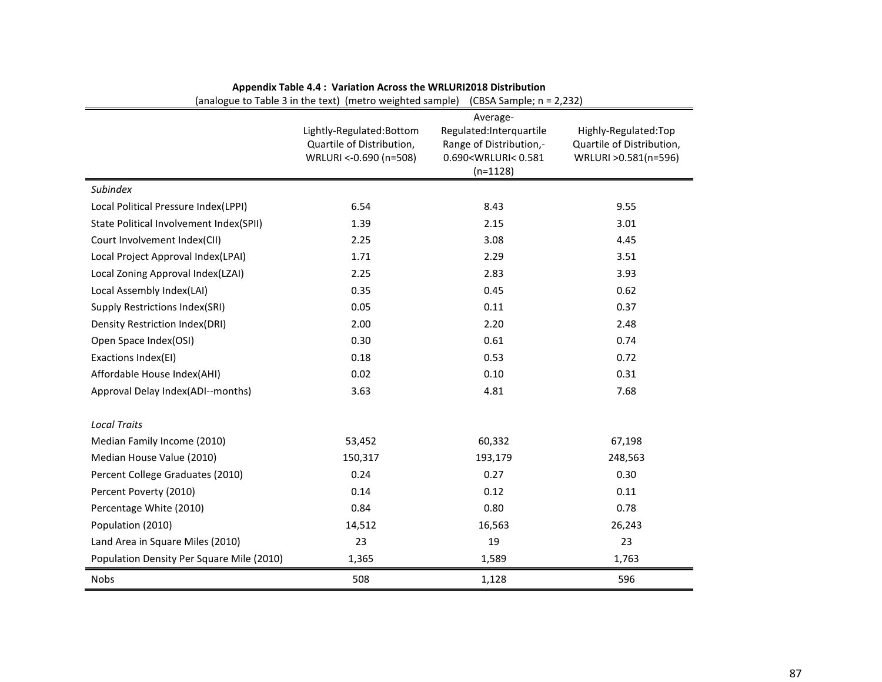|                                           | (analogue to Table 5 in the text) (inetro weighted sample).                      | (CD3A 3dHI)E, 11 – 2,232)                                                                                                        |                                                                            |
|-------------------------------------------|----------------------------------------------------------------------------------|----------------------------------------------------------------------------------------------------------------------------------|----------------------------------------------------------------------------|
|                                           | Lightly-Regulated:Bottom<br>Quartile of Distribution,<br>WRLURI <- 0.690 (n=508) | Average-<br>Regulated:Interquartile<br>Range of Distribution,-<br>0.690 <wrluri<0.581<br><math>(n=1128)</math></wrluri<0.581<br> | Highly-Regulated:Top<br>Quartile of Distribution,<br>WRLURI > 0.581(n=596) |
| Subindex                                  |                                                                                  |                                                                                                                                  |                                                                            |
| Local Political Pressure Index(LPPI)      | 6.54                                                                             | 8.43                                                                                                                             | 9.55                                                                       |
| State Political Involvement Index(SPII)   | 1.39                                                                             | 2.15                                                                                                                             | 3.01                                                                       |
| Court Involvement Index(CII)              | 2.25                                                                             | 3.08                                                                                                                             | 4.45                                                                       |
| Local Project Approval Index(LPAI)        | 1.71                                                                             | 2.29                                                                                                                             | 3.51                                                                       |
| Local Zoning Approval Index(LZAI)         | 2.25                                                                             | 2.83                                                                                                                             | 3.93                                                                       |
| Local Assembly Index(LAI)                 | 0.35                                                                             | 0.45                                                                                                                             | 0.62                                                                       |
| <b>Supply Restrictions Index(SRI)</b>     | 0.05                                                                             | 0.11                                                                                                                             | 0.37                                                                       |
| <b>Density Restriction Index(DRI)</b>     | 2.00                                                                             | 2.20                                                                                                                             | 2.48                                                                       |
| Open Space Index(OSI)                     | 0.30                                                                             | 0.61                                                                                                                             | 0.74                                                                       |
| Exactions Index(EI)                       | 0.18                                                                             | 0.53                                                                                                                             | 0.72                                                                       |
| Affordable House Index(AHI)               | 0.02                                                                             | 0.10                                                                                                                             | 0.31                                                                       |
| Approval Delay Index(ADI--months)         | 3.63                                                                             | 4.81                                                                                                                             | 7.68                                                                       |
| <b>Local Traits</b>                       |                                                                                  |                                                                                                                                  |                                                                            |
| Median Family Income (2010)               | 53,452                                                                           | 60,332                                                                                                                           | 67,198                                                                     |
| Median House Value (2010)                 | 150,317                                                                          | 193,179                                                                                                                          | 248,563                                                                    |
| Percent College Graduates (2010)          | 0.24                                                                             | 0.27                                                                                                                             | 0.30                                                                       |
| Percent Poverty (2010)                    | 0.14                                                                             | 0.12                                                                                                                             | 0.11                                                                       |
| Percentage White (2010)                   | 0.84                                                                             | 0.80                                                                                                                             | 0.78                                                                       |
| Population (2010)                         | 14,512                                                                           | 16,563                                                                                                                           | 26,243                                                                     |
| Land Area in Square Miles (2010)          | 23                                                                               | 19                                                                                                                               | 23                                                                         |
| Population Density Per Square Mile (2010) | 1,365                                                                            | 1,589                                                                                                                            | 1,763                                                                      |
| Nobs                                      | 508                                                                              | 1,128                                                                                                                            | 596                                                                        |

#### **Appendix Table 4.4 : Variation Across the WRLURI2018 Distribution**

 $\sum_{n=1}^{\infty}$  (analogue to Table 3 in the text) (metro weighted sample) (CBSA Sample; n = 2,232)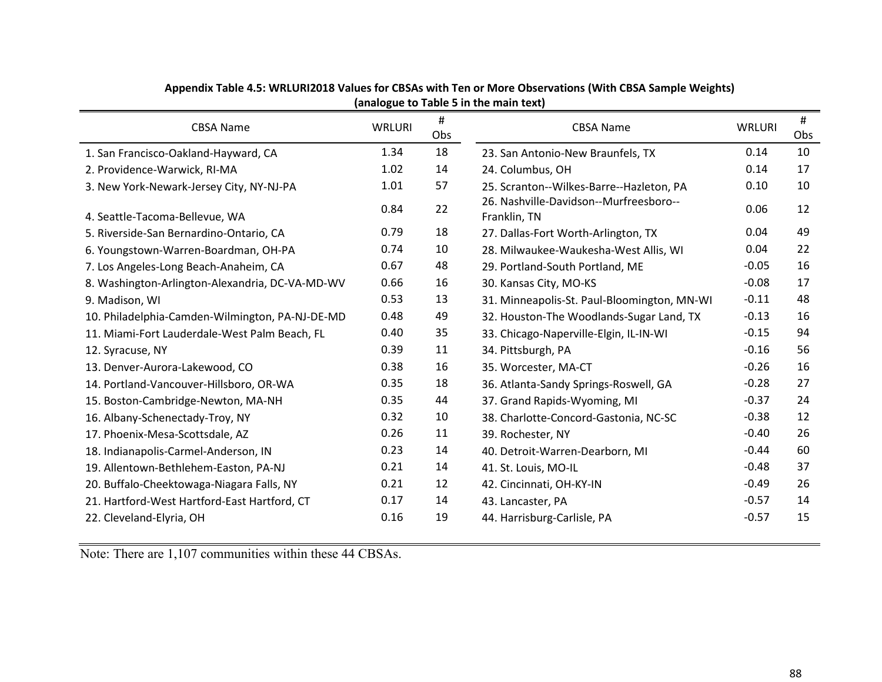| <b>CBSA Name</b>                                | <b>WRLURI</b> | #<br>Obs | <b>CBSA Name</b>                                       | <b>WRLURI</b> | #<br>Obs |
|-------------------------------------------------|---------------|----------|--------------------------------------------------------|---------------|----------|
| 1. San Francisco-Oakland-Hayward, CA            | 1.34          | 18       | 23. San Antonio-New Braunfels, TX                      | 0.14          | 10       |
| 2. Providence-Warwick, RI-MA                    | 1.02          | 14       | 24. Columbus, OH                                       | 0.14          | 17       |
| 3. New York-Newark-Jersey City, NY-NJ-PA        | 1.01          | 57       | 25. Scranton--Wilkes-Barre--Hazleton, PA               | 0.10          | 10       |
| 4. Seattle-Tacoma-Bellevue, WA                  | 0.84          | 22       | 26. Nashville-Davidson--Murfreesboro--<br>Franklin, TN | 0.06          | 12       |
| 5. Riverside-San Bernardino-Ontario, CA         | 0.79          | 18       | 27. Dallas-Fort Worth-Arlington, TX                    | 0.04          | 49       |
| 6. Youngstown-Warren-Boardman, OH-PA            | 0.74          | 10       | 28. Milwaukee-Waukesha-West Allis, WI                  | 0.04          | 22       |
| 7. Los Angeles-Long Beach-Anaheim, CA           | 0.67          | 48       | 29. Portland-South Portland, ME                        | $-0.05$       | 16       |
| 8. Washington-Arlington-Alexandria, DC-VA-MD-WV | 0.66          | 16       | 30. Kansas City, MO-KS                                 | $-0.08$       | 17       |
| 9. Madison, WI                                  | 0.53          | 13       | 31. Minneapolis-St. Paul-Bloomington, MN-WI            | $-0.11$       | 48       |
| 10. Philadelphia-Camden-Wilmington, PA-NJ-DE-MD | 0.48          | 49       | 32. Houston-The Woodlands-Sugar Land, TX               | $-0.13$       | 16       |
| 11. Miami-Fort Lauderdale-West Palm Beach, FL   | 0.40          | 35       | 33. Chicago-Naperville-Elgin, IL-IN-WI                 | $-0.15$       | 94       |
| 12. Syracuse, NY                                | 0.39          | 11       | 34. Pittsburgh, PA                                     | $-0.16$       | 56       |
| 13. Denver-Aurora-Lakewood, CO                  | 0.38          | 16       | 35. Worcester, MA-CT                                   | $-0.26$       | 16       |
| 14. Portland-Vancouver-Hillsboro, OR-WA         | 0.35          | 18       | 36. Atlanta-Sandy Springs-Roswell, GA                  | $-0.28$       | 27       |
| 15. Boston-Cambridge-Newton, MA-NH              | 0.35          | 44       | 37. Grand Rapids-Wyoming, MI                           | $-0.37$       | 24       |
| 16. Albany-Schenectady-Troy, NY                 | 0.32          | 10       | 38. Charlotte-Concord-Gastonia, NC-SC                  | $-0.38$       | 12       |
| 17. Phoenix-Mesa-Scottsdale, AZ                 | 0.26          | 11       | 39. Rochester, NY                                      | $-0.40$       | 26       |
| 18. Indianapolis-Carmel-Anderson, IN            | 0.23          | 14       | 40. Detroit-Warren-Dearborn, MI                        | $-0.44$       | 60       |
| 19. Allentown-Bethlehem-Easton, PA-NJ           | 0.21          | 14       | 41. St. Louis, MO-IL                                   | $-0.48$       | 37       |
| 20. Buffalo-Cheektowaga-Niagara Falls, NY       | 0.21          | 12       | 42. Cincinnati, OH-KY-IN                               | $-0.49$       | 26       |
| 21. Hartford-West Hartford-East Hartford, CT    | 0.17          | 14       | 43. Lancaster, PA                                      | $-0.57$       | 14       |
| 22. Cleveland-Elyria, OH                        | 0.16          | 19       | 44. Harrisburg-Carlisle, PA                            | $-0.57$       | 15       |

#### **Appendix Table 4.5: WRLURI2018 Values for CBSAs with Ten or More Observations (With CBSA Sample Weights) (analogue to Table 5 in the main text)**

Note: There are 1,107 communities within these 44 CBSAs.